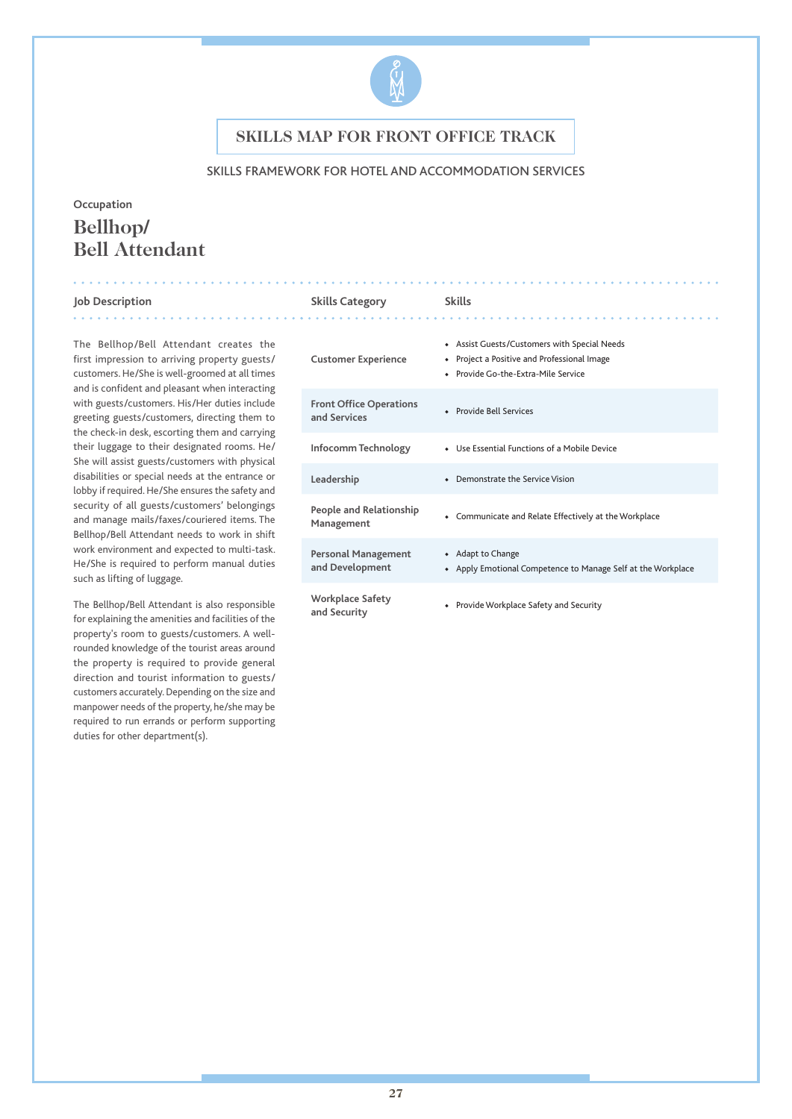

### SKILLS FRAMEWORK FOR HOTEL AND ACCOMMODATION SERVICES

# **Occupation Bellhop/ Bell Attendant**

#### **Job Description Skills Category Skills**

The Bellhop/Bell Attendant creates the first impression to arriving property guests/ customers. He/She is well-groomed at all times and is confident and pleasant when interacting with guests/customers. His/Her duties include greeting guests/customers, directing them to the check-in desk, escorting them and carrying their luggage to their designated rooms. He/ She will assist guests/customers with physical disabilities or special needs at the entrance or lobby if required. He/She ensures the safety and security of all guests/customers' belongings and manage mails/faxes/couriered items. The Bellhop/Bell Attendant needs to work in shift work environment and expected to multi-task. He/She is required to perform manual duties such as lifting of luggage.

The Bellhop/Bell Attendant is also responsible for explaining the amenities and facilities of the property's room to guests/customers. A wellrounded knowledge of the tourist areas around the property is required to provide general direction and tourist information to guests/ customers accurately. Depending on the size and manpower needs of the property, he/she may be required to run errands or perform supporting duties for other department(s).

| <b>Customer Experience</b>                     | • Assist Guests/Customers with Special Needs<br>Project a Positive and Professional Image<br>٠<br>• Provide Go-the-Extra-Mile Service |
|------------------------------------------------|---------------------------------------------------------------------------------------------------------------------------------------|
| <b>Front Office Operations</b><br>and Services | • Provide Bell Services                                                                                                               |
| Infocomm Technology                            | • Use Essential Functions of a Mobile Device                                                                                          |
| Leadership                                     | • Demonstrate the Service Vision                                                                                                      |
| People and Relationship<br>Management          | • Communicate and Relate Effectively at the Workplace                                                                                 |
| Personal Management<br>and Development         | • Adapt to Change<br>• Apply Emotional Competence to Manage Self at the Workplace                                                     |
| Workplace Safety<br>and Security               | Provide Workplace Safety and Security                                                                                                 |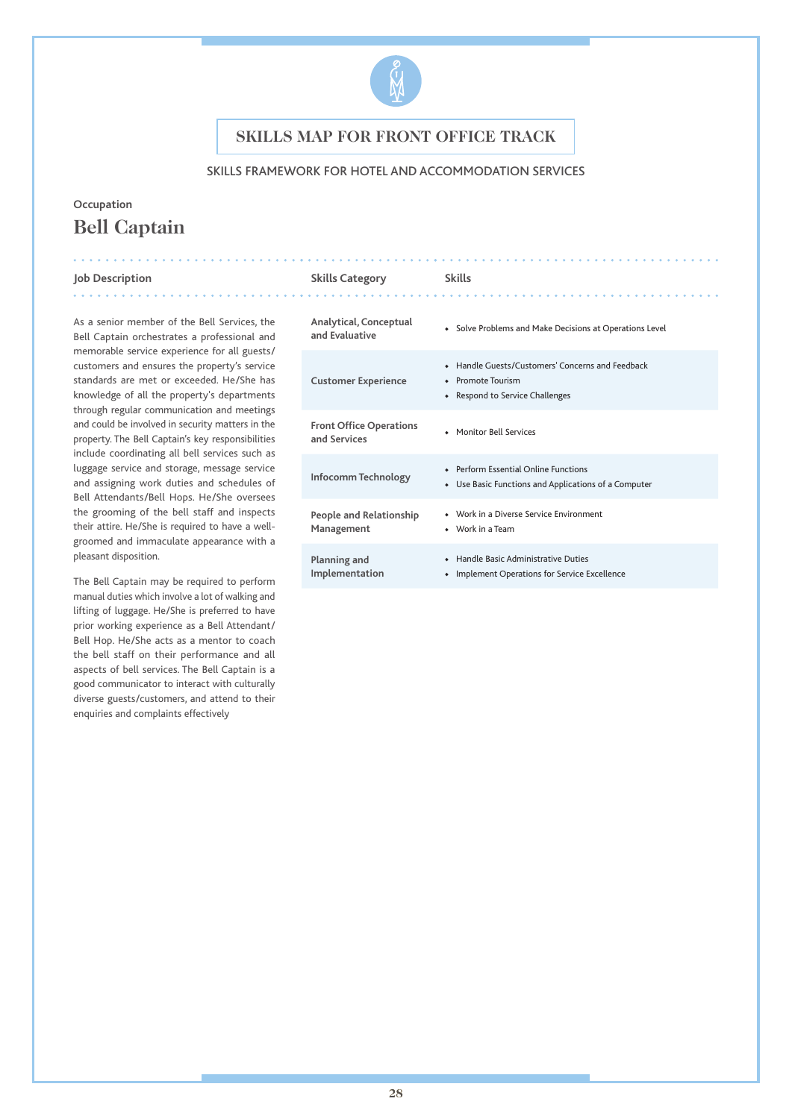

### SKILLS FRAMEWORK FOR HOTEL AND ACCOMMODATION SERVICES

# **Occupation Bell Captain**

#### **Job Description Skills Category Skills**

. . . . . . . . . . . . .

. . . . . . . . . . .

As a senior member of the Bell Services, the Bell Captain orchestrates a professional and memorable service experience for all guests/ customers and ensures the property's service standards are met or exceeded. He/She has knowledge of all the property's departments through regular communication and meetings and could be involved in security matters in the property. The Bell Captain's key responsibilities include coordinating all bell services such as luggage service and storage, message service and assigning work duties and schedules of Bell Attendants/Bell Hops. He/She oversees the grooming of the bell staff and inspects their attire. He/She is required to have a wellgroomed and immaculate appearance with a pleasant disposition.

The Bell Captain may be required to perform manual duties which involve a lot of walking and lifting of luggage. He/She is preferred to have prior working experience as a Bell Attendant/ Bell Hop. He/She acts as a mentor to coach the bell staff on their performance and all aspects of bell services. The Bell Captain is a good communicator to interact with culturally diverse guests/customers, and attend to their enquiries and complaints effectively

| Analytical, Conceptual                         | Solve Problems and Make Decisions at Operations Level                                                    |
|------------------------------------------------|----------------------------------------------------------------------------------------------------------|
| and Evaluative                                 | $\bullet$                                                                                                |
| <b>Customer Experience</b>                     | • Handle Guests/Customers' Concerns and Feedback<br>• Promote Tourism<br>• Respond to Service Challenges |
| <b>Front Office Operations</b><br>and Services | • Monitor Bell Services                                                                                  |
| Infocomm Technology                            | • Perform Essential Online Functions<br>Use Basic Functions and Applications of a Computer<br>$\bullet$  |
| <b>People and Relationship</b>                 | • Work in a Diverse Service Environment                                                                  |
| Management                                     | • Work in a Team                                                                                         |
| Planning and                                   | • Handle Basic Administrative Duties                                                                     |
| Implementation                                 | Implement Operations for Service Excellence                                                              |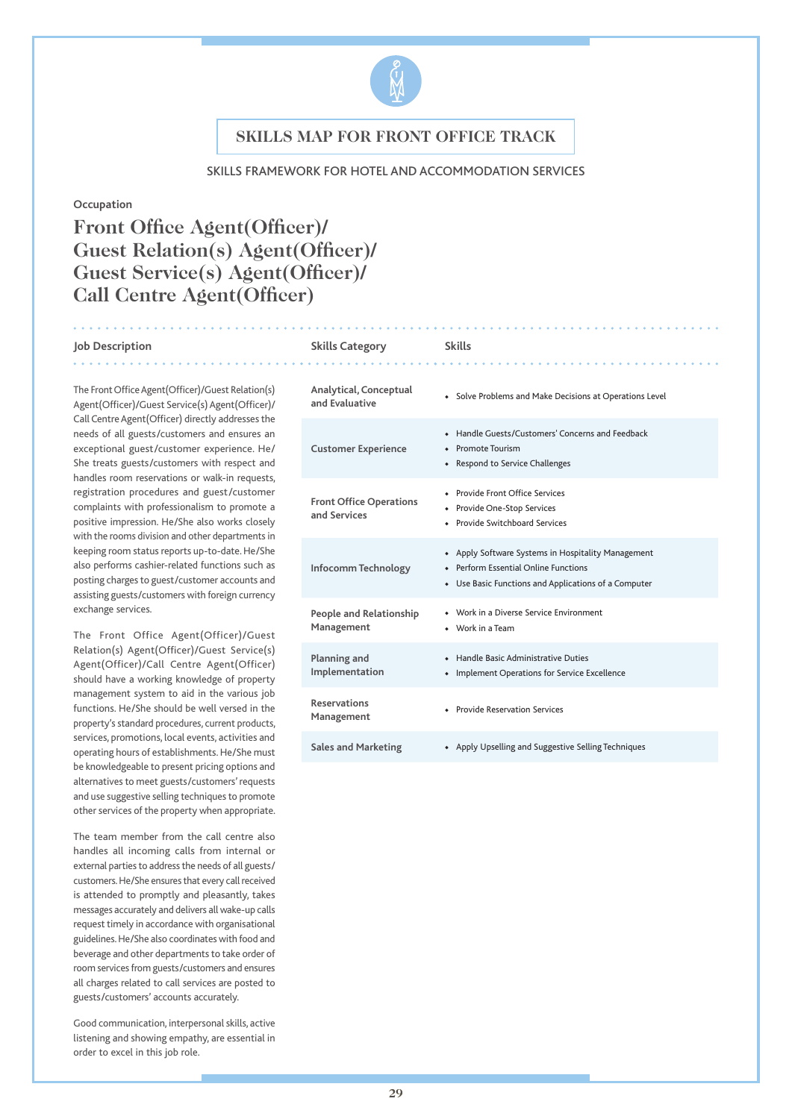

#### SKILLS FRAMEWORK FOR HOTEL AND ACCOMMODATION SERVICES

#### **Occupation**

# **Front Office Agent(Officer)/ Guest Relation(s) Agent(Officer)/ Guest Service(s) Agent(Officer)/ Call Centre Agent(Officer)**

#### **Job Description Skills Category Skills**

The Front Office Agent(Officer)/Guest Relation(s) Agent(Officer)/Guest Service(s) Agent(Officer)/ Call Centre Agent(Officer) directly addresses the needs of all guests/customers and ensures an exceptional guest/customer experience. He/ She treats guests/customers with respect and handles room reservations or walk-in requests, registration procedures and guest/customer complaints with professionalism to promote a positive impression. He/She also works closely with the rooms division and other departments in keeping room status reports up-to-date. He/She also performs cashier-related functions such as posting charges to guest/customer accounts and assisting guests/customers with foreign currency exchange services.

The Front Office Agent(Officer)/Guest Relation(s) Agent(Officer)/Guest Service(s) Agent(Officer)/Call Centre Agent(Officer) should have a working knowledge of property management system to aid in the various job functions. He/She should be well versed in the property's standard procedures, current products, services, promotions, local events, activities and operating hours of establishments. He/She must be knowledgeable to present pricing options and alternatives to meet guests/customers' requests and use suggestive selling techniques to promote other services of the property when appropriate.

The team member from the call centre also handles all incoming calls from internal or external parties to address the needs of all guests/ customers. He/She ensures that every call received is attended to promptly and pleasantly, takes messages accurately and delivers all wake-up calls request timely in accordance with organisational guidelines. He/She also coordinates with food and beverage and other departments to take order of room services from guests/customers and ensures all charges related to call services are posted to guests/customers' accounts accurately.

Good communication, interpersonal skills, active listening and showing empathy, are essential in order to excel in this job role.

| Analytical, Conceptual<br>and Evaluative       | • Solve Problems and Make Decisions at Operations Level                                                                                               |
|------------------------------------------------|-------------------------------------------------------------------------------------------------------------------------------------------------------|
| <b>Customer Experience</b>                     | Handle Guests/Customers' Concerns and Feedback<br>۰<br><b>Promote Tourism</b><br>٠<br>• Respond to Service Challenges                                 |
| <b>Front Office Operations</b><br>and Services | • Provide Front Office Services<br>• Provide One-Stop Services<br>• Provide Switchboard Services                                                      |
| Infocomm Technology                            | • Apply Software Systems in Hospitality Management<br>Perform Essential Online Functions<br>۰<br>• Use Basic Functions and Applications of a Computer |
| <b>People and Relationship</b><br>Management   | Work in a Diverse Service Environment<br>• Work in a Team                                                                                             |
| Planning and<br>Implementation                 | Handle Basic Administrative Duties<br>۰<br>Implement Operations for Service Excellence<br>$\bullet$                                                   |
| <b>Reservations</b><br>Management              | • Provide Reservation Services                                                                                                                        |
| <b>Sales and Marketing</b>                     | • Apply Upselling and Suggestive Selling Techniques                                                                                                   |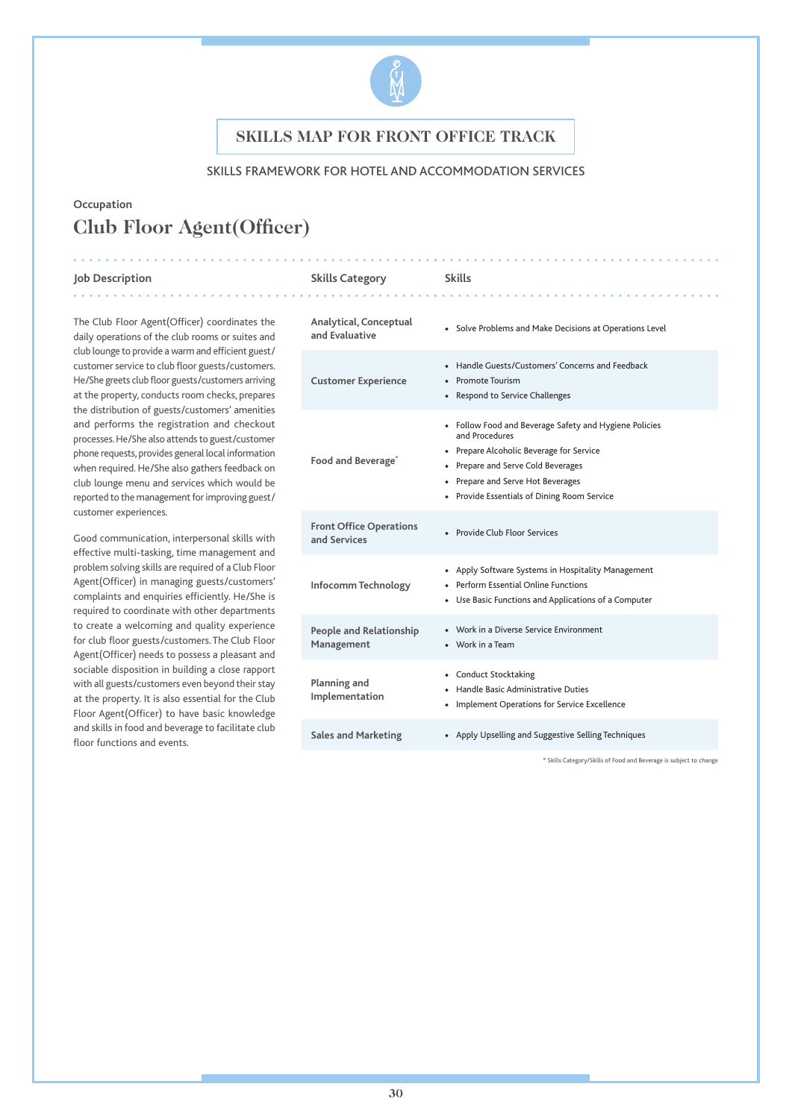

### SKILLS FRAMEWORK FOR HOTEL AND ACCOMMODATION SERVICES

# **Occupation Club Floor Agent(Officer)**

#### **Job Description Skills Category Skills**

. . . . . . . . . . . . . .

The Club Floor Agent(Officer) coordinates the daily operations of the club rooms or suites and club lounge to provide a warm and efficient guest/ customer service to club floor guests/customers. He/She greets club floor guests/customers arriving at the property, conducts room checks, prepares the distribution of guests/customers' amenities and performs the registration and checkout processes. He/She also attends to guest/customer phone requests, provides general local information when required. He/She also gathers feedback on club lounge menu and services which would be reported to the management for improving guest/ customer experiences.

Good communication, interpersonal skills with effective multi-tasking, time management and problem solving skills are required of a Club Floor Agent(Officer) in managing guests/customers' complaints and enquiries efficiently. He/She is required to coordinate with other departments to create a welcoming and quality experience for club floor guests/customers. The Club Floor Agent(Officer) needs to possess a pleasant and sociable disposition in building a close rapport with all guests/customers even beyond their stay at the property. It is also essential for the Club Floor Agent(Officer) to have basic knowledge and skills in food and beverage to facilitate club floor functions and events.

| Analytical, Conceptual<br>and Evaluative       | • Solve Problems and Make Decisions at Operations Level                                                                                                                                                                                        |
|------------------------------------------------|------------------------------------------------------------------------------------------------------------------------------------------------------------------------------------------------------------------------------------------------|
| <b>Customer Experience</b>                     | • Handle Guests/Customers' Concerns and Feedback<br>• Promote Tourism<br>• Respond to Service Challenges                                                                                                                                       |
| Food and Beverage <sup>®</sup>                 | • Follow Food and Beverage Safety and Hygiene Policies<br>and Procedures<br>• Prepare Alcoholic Beverage for Service<br>• Prepare and Serve Cold Beverages<br>• Prepare and Serve Hot Beverages<br>• Provide Essentials of Dining Room Service |
| <b>Front Office Operations</b><br>and Services | • Provide Club Floor Services                                                                                                                                                                                                                  |
| Infocomm Technology                            | • Apply Software Systems in Hospitality Management<br>◆ Perform Essential Online Functions<br>• Use Basic Functions and Applications of a Computer                                                                                             |
| <b>People and Relationship</b><br>Management   | • Work in a Diverse Service Environment<br>$\bullet$ Work in a Team                                                                                                                                                                            |
| Planning and<br>Implementation                 | • Conduct Stocktaking<br>• Handle Basic Administrative Duties<br>• Implement Operations for Service Excellence                                                                                                                                 |
| <b>Sales and Marketing</b>                     | • Apply Upselling and Suggestive Selling Techniques                                                                                                                                                                                            |

\* Skills Category/Skills of Food and Beverage is subject to change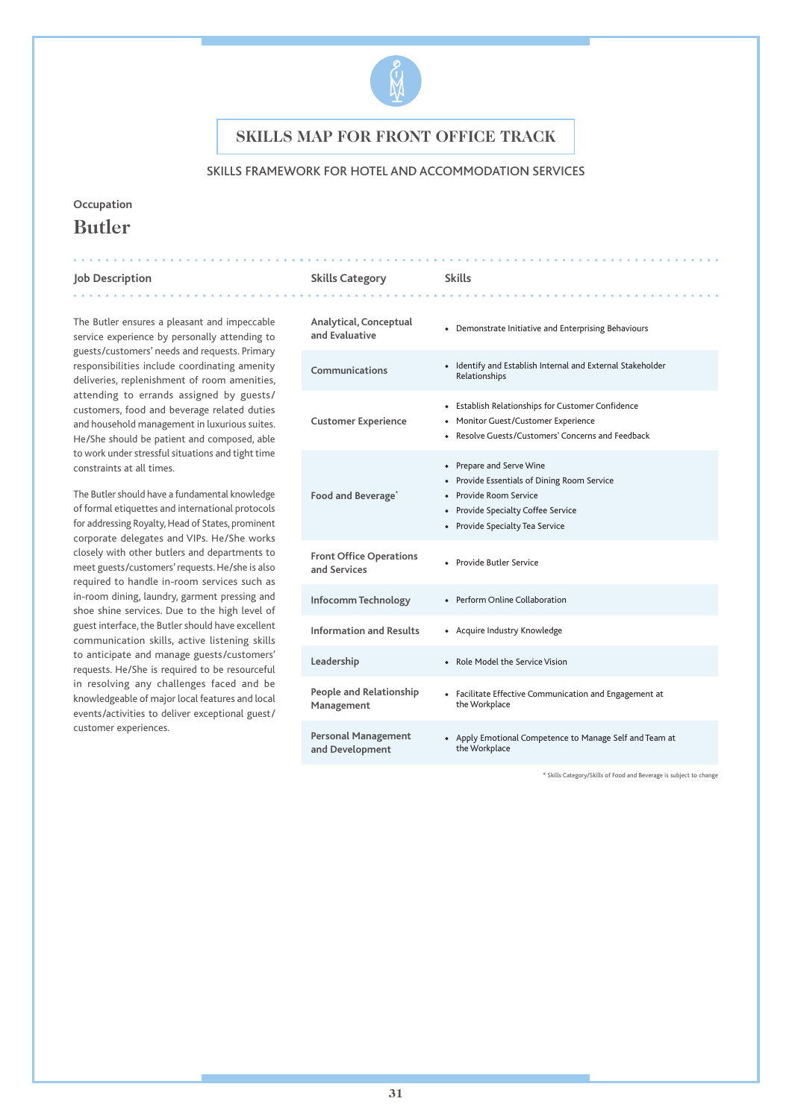

### SKILLS FRAMEWORK FOR HOTEL AND ACCOMMODATION SERVICES

## **Occupation Butler**

#### **Job Description Skills Category Skills**

The Butler ensures a pleasant and impeccable service experience by personally attending to guests/customers' needs and requests. Primary responsibilities include coordinating amenity deliveries, replenishment of room amenities, attending to errands assigned by guests/ customers, food and beverage related duties and household management in luxurious suites. He/She should be patient and composed, able to work under stressful situations and tight time constraints at all times.

The Butler should have a fundamental knowledge of formal etiquettes and international protocols for addressing Royalty, Head of States, prominent corporate delegates and VIPs. He/She works closely with other butlers and departments to meet guests/customers' requests. He/she is also required to handle in-room services such as in-room dining, laundry, garment pressing and shoe shine services. Due to the high level of guest interface, the Butler should have excellent communication skills, active listening skills to anticipate and manage guests/customers' requests. He/She is required to be resourceful in resolving any challenges faced and be knowledgeable of major local features and local events/activities to deliver exceptional guest/ customer experiences.

| Analytical, Conceptual<br>and Evaluative       | • Demonstrate Initiative and Enterprising Behaviours                                                                                                                       |
|------------------------------------------------|----------------------------------------------------------------------------------------------------------------------------------------------------------------------------|
| Communications                                 | • Identify and Establish Internal and External Stakeholder<br>Relationships                                                                                                |
| <b>Customer Experience</b>                     | Establish Relationships for Customer Confidence<br>• Monitor Guest/Customer Experience<br>• Resolve Guests/Customers' Concerns and Feedback                                |
| Food and Beverage <sup>®</sup>                 | • Prepare and Serve Wine<br>• Provide Essentials of Dining Room Service<br>• Provide Room Service<br>• Provide Specialty Coffee Service<br>• Provide Specialty Tea Service |
| <b>Front Office Operations</b><br>and Services | • Provide Butler Service                                                                                                                                                   |
| Infocomm Technology                            | • Perform Online Collaboration                                                                                                                                             |
| <b>Information and Results</b>                 | • Acquire Industry Knowledge                                                                                                                                               |
| Leadership                                     | • Role Model the Service Vision                                                                                                                                            |
| People and Relationship<br>Management          | • Facilitate Effective Communication and Engagement at<br>the Workplace                                                                                                    |
| <b>Personal Management</b><br>and Development  | • Apply Emotional Competence to Manage Self and Team at<br>the Workplace                                                                                                   |

\* Skills Category/Skills of Food and Beverage is subject to change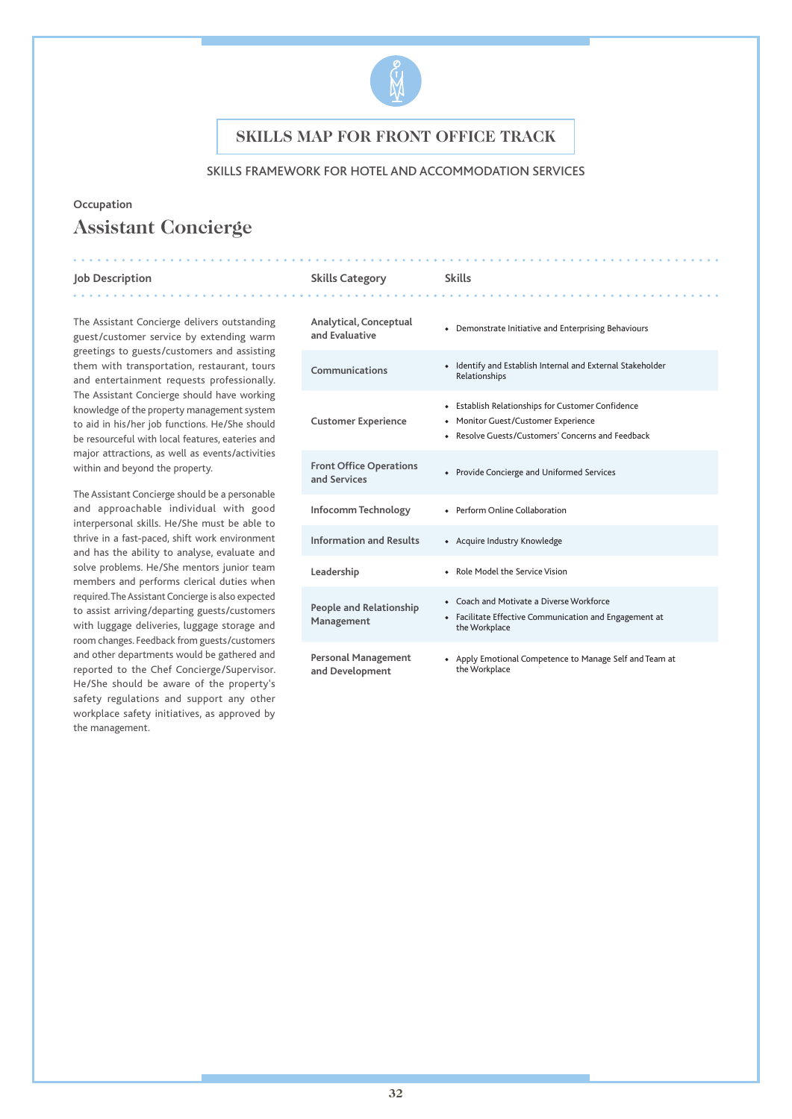

### SKILLS FRAMEWORK FOR HOTEL AND ACCOMMODATION SERVICES

### **Occupation**

# **Assistant Concierge**

#### **Job Description Skills Category Skills**

The Assistant Concierge delivers outstanding guest/customer service by extending warm greetings to guests/customers and assisting them with transportation, restaurant, tours and entertainment requests professionally. The Assistant Concierge should have working knowledge of the property management system to aid in his/her job functions. He/She should be resourceful with local features, eateries and major attractions, as well as events/activities within and beyond the property.

The Assistant Concierge should be a personable and approachable individual with good interpersonal skills. He/She must be able to thrive in a fast-paced, shift work environment and has the ability to analyse, evaluate and solve problems. He/She mentors junior team members and performs clerical duties when required. The Assistant Concierge is also expected to assist arriving/departing guests/customers with luggage deliveries, luggage storage and room changes. Feedback from guests/customers and other departments would be gathered and reported to the Chef Concierge/Supervisor. He/She should be aware of the property's safety regulations and support any other workplace safety initiatives, as approved by the management.

| Analytical, Conceptual<br>and Evaluative       | • Demonstrate Initiative and Enterprising Behaviours                                                                                          |
|------------------------------------------------|-----------------------------------------------------------------------------------------------------------------------------------------------|
| Communications                                 | • Identify and Establish Internal and External Stakeholder<br>Relationships                                                                   |
| <b>Customer Experience</b>                     | • Establish Relationships for Customer Confidence<br>• Monitor Guest/Customer Experience<br>• Resolve Guests/Customers' Concerns and Feedback |
| <b>Front Office Operations</b><br>and Services | • Provide Concierge and Uniformed Services                                                                                                    |
| Infocomm Technology                            | • Perform Online Collaboration                                                                                                                |
| <b>Information and Results</b>                 | • Acquire Industry Knowledge                                                                                                                  |
| Leadership                                     | • Role Model the Service Vision                                                                                                               |
| <b>People and Relationship</b><br>Management   | • Coach and Motivate a Diverse Workforce<br>• Facilitate Effective Communication and Engagement at<br>the Workplace                           |
| Personal Management<br>and Development         | • Apply Emotional Competence to Manage Self and Team at<br>the Workplace                                                                      |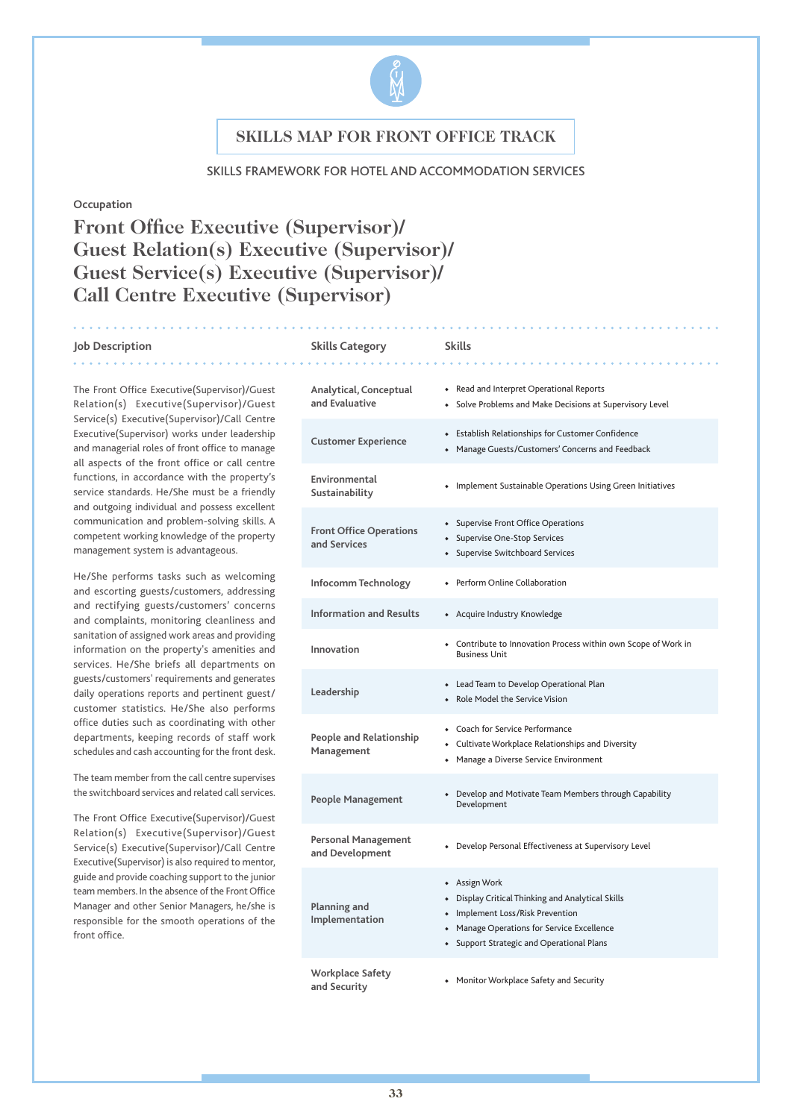

#### SKILLS FRAMEWORK FOR HOTEL AND ACCOMMODATION SERVICES

#### **Occupation**

# **Front Office Executive (Supervisor)/ Guest Relation(s) Executive (Supervisor)/ Guest Service(s) Executive (Supervisor)/ Call Centre Executive (Supervisor)**

#### **Job Description Skills Category Skills**

. . . . . . . .

The Front Office Executive(Supervisor)/Guest Relation(s) Executive(Supervisor)/Guest Service(s) Executive(Supervisor)/Call Centre Executive(Supervisor) works under leadership and managerial roles of front office to manage all aspects of the front office or call centre functions, in accordance with the property's service standards. He/She must be a friendly and outgoing individual and possess excellent communication and problem-solving skills. A competent working knowledge of the property management system is advantageous.

He/She performs tasks such as welcoming and escorting guests/customers, addressing and rectifying guests/customers' concerns and complaints, monitoring cleanliness and sanitation of assigned work areas and providing information on the property's amenities and services. He/She briefs all departments on guests/customers' requirements and generates daily operations reports and pertinent guest/ customer statistics. He/She also performs office duties such as coordinating with other departments, keeping records of staff work schedules and cash accounting for the front desk.

The team member from the call centre supervises the switchboard services and related call services.

The Front Office Executive(Supervisor)/Guest Relation(s) Executive(Supervisor)/Guest Service(s) Executive(Supervisor)/Call Centre Executive(Supervisor) is also required to mentor, guide and provide coaching support to the junior team members. In the absence of the Front Office Manager and other Senior Managers, he/she is responsible for the smooth operations of the front office.

| Analytical, Conceptual<br>and Evaluative       | • Read and Interpret Operational Reports<br>• Solve Problems and Make Decisions at Supervisory Level                                                                                              |
|------------------------------------------------|---------------------------------------------------------------------------------------------------------------------------------------------------------------------------------------------------|
| <b>Customer Experience</b>                     | • Establish Relationships for Customer Confidence<br>• Manage Guests/Customers' Concerns and Feedback                                                                                             |
| Environmental<br>Sustainability                | • Implement Sustainable Operations Using Green Initiatives                                                                                                                                        |
| <b>Front Office Operations</b><br>and Services | • Supervise Front Office Operations<br>• Supervise One-Stop Services<br>• Supervise Switchboard Services                                                                                          |
| Infocomm Technology                            | • Perform Online Collaboration                                                                                                                                                                    |
| <b>Information and Results</b>                 | • Acquire Industry Knowledge                                                                                                                                                                      |
| Innovation                                     | • Contribute to Innovation Process within own Scope of Work in<br><b>Business Unit</b>                                                                                                            |
| Leadership                                     | • Lead Team to Develop Operational Plan<br>• Role Model the Service Vision                                                                                                                        |
| People and Relationship<br>Management          | • Coach for Service Performance<br>• Cultivate Workplace Relationships and Diversity<br>• Manage a Diverse Service Environment                                                                    |
| <b>People Management</b>                       | Develop and Motivate Team Members through Capability<br>Development                                                                                                                               |
| <b>Personal Management</b><br>and Development  | • Develop Personal Effectiveness at Supervisory Level                                                                                                                                             |
| Planning and<br>Implementation                 | • Assign Work<br>• Display Critical Thinking and Analytical Skills<br>• Implement Loss/Risk Prevention<br>• Manage Operations for Service Excellence<br>• Support Strategic and Operational Plans |
| <b>Workplace Safety</b><br>and Security        | • Monitor Workplace Safety and Security                                                                                                                                                           |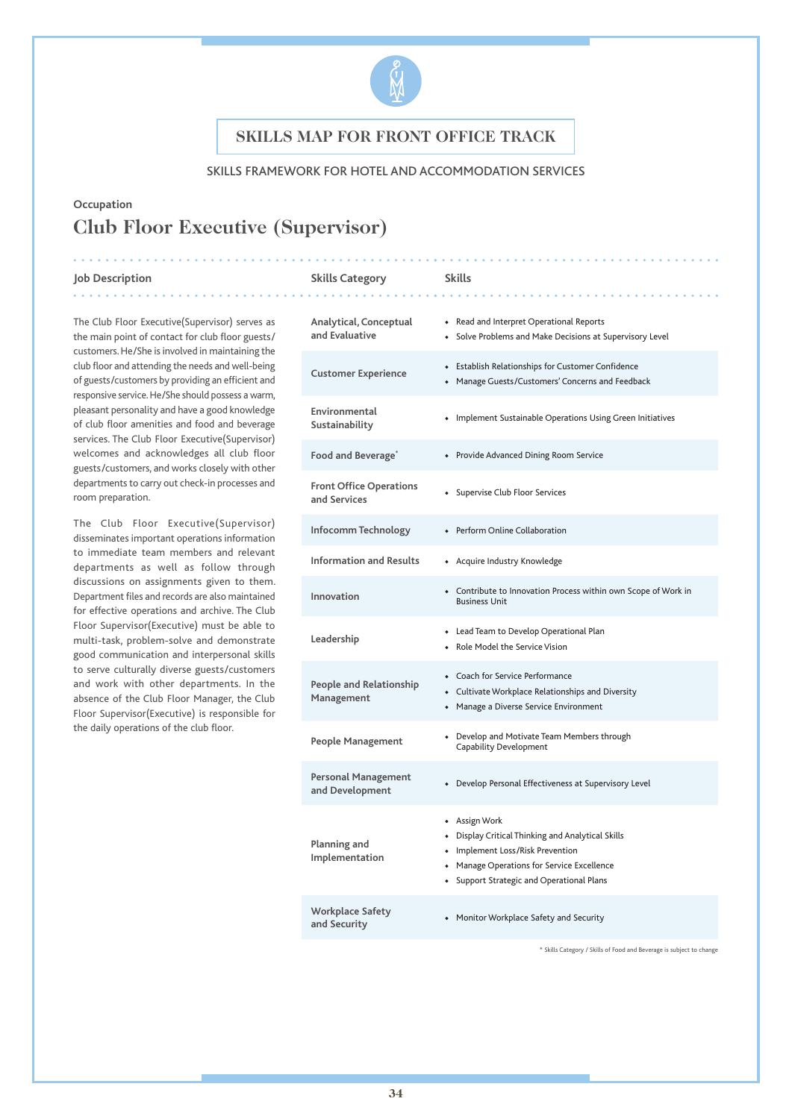

### SKILLS FRAMEWORK FOR HOTEL AND ACCOMMODATION SERVICES

# **Occupation Club Floor Executive (Supervisor)**

#### **Job Description Skills Category Skills**

room preparation.

The Club Floor Executive(Supervisor) serves as the main point of contact for club floor guests/ customers. He/She is involved in maintaining the club floor and attending the needs and well-being of guests/customers by providing an efficient and responsive service. He/She should possess a warm, pleasant personality and have a good knowledge of club floor amenities and food and beverage services. The Club Floor Executive(Supervisor) welcomes and acknowledges all club floor guests/customers, and works closely with other departments to carry out check-in processes and

The Club Floor Executive(Supervisor) disseminates important operations information to immediate team members and relevant departments as well as follow through discussions on assignments given to them. Department files and records are also maintained for effective operations and archive. The Club Floor Supervisor(Executive) must be able to multi-task, problem-solve and demonstrate good communication and interpersonal skills to serve culturally diverse guests/customers and work with other departments. In the absence of the Club Floor Manager, the Club Floor Supervisor(Executive) is responsible for the daily operations of the club floor.

## **Analytical, Conceptual and Evaluative** ◆ Read and Interpret Operational Reports ◆ Solve Problems and Make Decisions at Supervisory Level **Customer Experience** ◆ Establish Relationships for Customer Confidence ◆ Manage Guests/Customers' Concerns and Feedback **Environmental Sustainability** ◆ Implement Sustainable Operations Using Green Initiatives **Food and Beverage\*** ◆ Provide Advanced Dining Room Service **Front Office Operations and Services** ◆ Supervise Club Floor Services **Infocomm Technology** ◆ Perform Online Collaboration **Information and Results** ◆ Acquire Industry Knowledge **Innovation** ◆ Contribute to Innovation Process within own Scope of Work in Business Unit **Leadership** ◆ Lead Team to Develop Operational Plan ◆ Role Model the Service Vision **People and Relationship Management** ◆ Coach for Service Performance ◆ Cultivate Workplace Relationships and Diversity ◆ Manage a Diverse Service Environment **People Management**  $\bullet$  Develop and Motivate Team Members through Capability Development **Personal Management and Development •** Develop Personal Effectiveness at Supervisory Level and Development **Planning and Implementation** ◆ Assign Work ◆ Display Critical Thinking and Analytical Skills ◆ Implement Loss/Risk Prevention ◆ Manage Operations for Service Excellence ◆ Support Strategic and Operational Plans **Workplace Safety and Security • Monitor Workplace Safety and Security and Security**

\* Skills Category / Skills of Food and Beverage is subject to change

#### **34**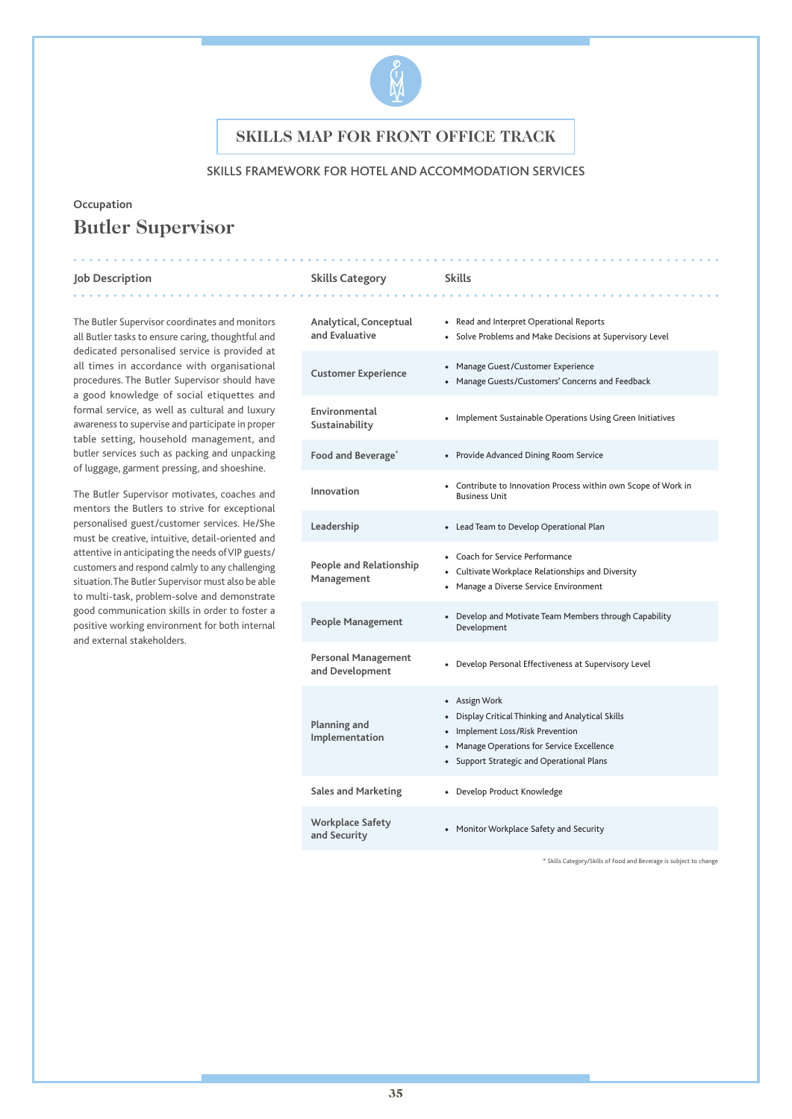

### SKILLS FRAMEWORK FOR HOTEL AND ACCOMMODATION SERVICES

# **Occupation Butler Supervisor**

#### **Job Description Skills Category Skills**

. . . . . . . . . . . . .

The Butler Supervisor coordinates and monitors all Butler tasks to ensure caring, thoughtful and dedicated personalised service is provided at all times in accordance with organisational procedures. The Butler Supervisor should have a good knowledge of social etiquettes and formal service, as well as cultural and luxury awareness to supervise and participate in proper table setting, household management, and butler services such as packing and unpacking of luggage, garment pressing, and shoeshine.

. . . . . . . . . . . . . . .

The Butler Supervisor motivates, coaches and mentors the Butlers to strive for exceptional personalised guest/customer services. He/She must be creative, intuitive, detail-oriented and attentive in anticipating the needs of VIP guests/ customers and respond calmly to any challenging situation. The Butler Supervisor must also be able to multi-task, problem-solve and demonstrate good communication skills in order to foster a positive working environment for both internal and external stakeholders.

| Analytical, Conceptual<br>and Evaluative      | • Read and Interpret Operational Reports<br>• Solve Problems and Make Decisions at Supervisory Level                                                                                                       |
|-----------------------------------------------|------------------------------------------------------------------------------------------------------------------------------------------------------------------------------------------------------------|
| <b>Customer Experience</b>                    | • Manage Guest/Customer Experience<br>• Manage Guests/Customers' Concerns and Feedback                                                                                                                     |
| Environmental<br>Sustainability               | • Implement Sustainable Operations Using Green Initiatives                                                                                                                                                 |
| Food and Beverage <sup>®</sup>                | • Provide Advanced Dining Room Service                                                                                                                                                                     |
| Innovation                                    | • Contribute to Innovation Process within own Scope of Work in<br><b>Business Unit</b>                                                                                                                     |
| Leadership                                    | • Lead Team to Develop Operational Plan                                                                                                                                                                    |
| People and Relationship<br>Management         | • Coach for Service Performance<br>• Cultivate Workplace Relationships and Diversity<br>• Manage a Diverse Service Environment                                                                             |
| People Management                             | Develop and Motivate Team Members through Capability<br>Development                                                                                                                                        |
| <b>Personal Management</b><br>and Development | Develop Personal Effectiveness at Supervisory Level                                                                                                                                                        |
| Planning and<br>Implementation                | • Assign Work<br>Display Critical Thinking and Analytical Skills<br>$\bullet$<br>Implement Loss/Risk Prevention<br>• Manage Operations for Service Excellence<br>• Support Strategic and Operational Plans |
| <b>Sales and Marketing</b>                    | • Develop Product Knowledge                                                                                                                                                                                |
| <b>Workplace Safety</b><br>and Security       | • Monitor Workplace Safety and Security                                                                                                                                                                    |

\* Skills Category/Skills of Food and Beverage is subject to change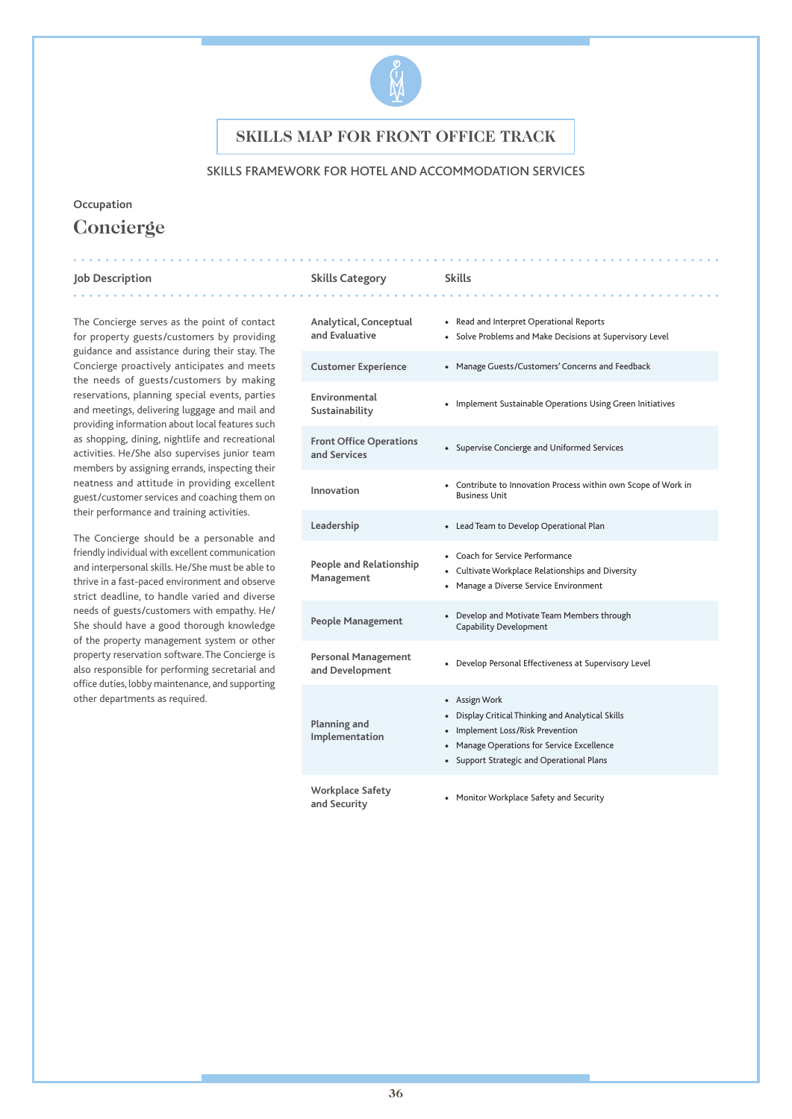

### SKILLS FRAMEWORK FOR HOTEL AND ACCOMMODATION SERVICES

**Alan Alan Alan** 

# **Occupation Concierge**

#### **Job Description Skills Category Skills** . . . . . . . . . . . .

The Concierge serves as the point of contact for property guests/customers by providing guidance and assistance during their stay. The Concierge proactively anticipates and meets the needs of guests/customers by making reservations, planning special events, parties and meetings, delivering luggage and mail and providing information about local features such as shopping, dining, nightlife and recreational activities. He/She also supervises junior team members by assigning errands, inspecting their neatness and attitude in providing excellent guest/customer services and coaching them on their performance and training activities.

. . . . . . . . . . . . . . . . .

The Concierge should be a personable and friendly individual with excellent communication and interpersonal skills. He/She must be able to thrive in a fast-paced environment and observe strict deadline, to handle varied and diverse needs of guests/customers with empathy. He/ She should have a good thorough knowledge of the property management system or other property reservation software. The Concierge is also responsible for performing secretarial and office duties, lobby maintenance, and supporting other departments as required.

| Analytical, Conceptual<br>and Evaluative       | • Read and Interpret Operational Reports<br>• Solve Problems and Make Decisions at Supervisory Level                                                                                              |
|------------------------------------------------|---------------------------------------------------------------------------------------------------------------------------------------------------------------------------------------------------|
| <b>Customer Experience</b>                     | • Manage Guests/Customers' Concerns and Feedback                                                                                                                                                  |
| Environmental<br>Sustainability                | • Implement Sustainable Operations Using Green Initiatives                                                                                                                                        |
| <b>Front Office Operations</b><br>and Services | • Supervise Concierge and Uniformed Services                                                                                                                                                      |
| Innovation                                     | • Contribute to Innovation Process within own Scope of Work in<br><b>Business Unit</b>                                                                                                            |
| Leadership                                     | • Lead Team to Develop Operational Plan                                                                                                                                                           |
| <b>People and Relationship</b><br>Management   | • Coach for Service Performance<br>• Cultivate Workplace Relationships and Diversity<br>Manage a Diverse Service Environment<br>$\bullet$                                                         |
| <b>People Management</b>                       | • Develop and Motivate Team Members through<br>Capability Development                                                                                                                             |
| <b>Personal Management</b><br>and Development  | • Develop Personal Effectiveness at Supervisory Level                                                                                                                                             |
| Planning and<br>Implementation                 | + Assign Work<br>• Display Critical Thinking and Analytical Skills<br>• Implement Loss/Risk Prevention<br>• Manage Operations for Service Excellence<br>• Support Strategic and Operational Plans |
| <b>Workplace Safety</b><br>and Security        | • Monitor Workplace Safety and Security                                                                                                                                                           |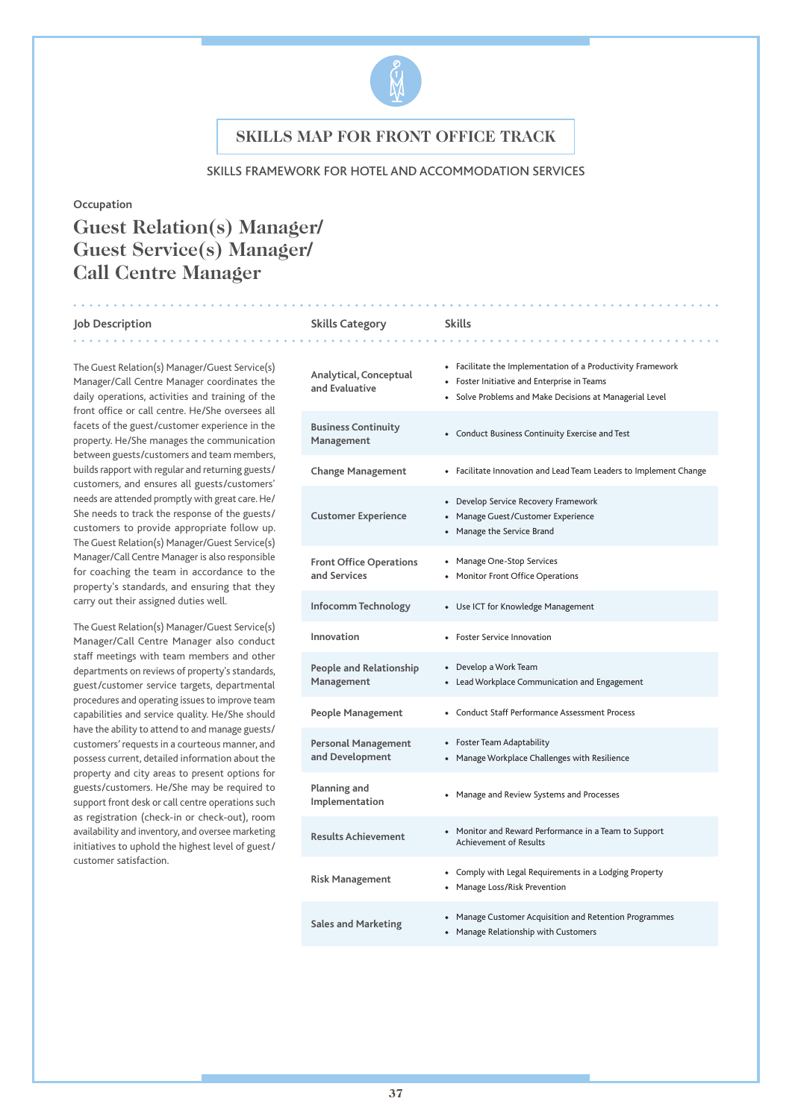

#### SKILLS FRAMEWORK FOR HOTEL AND ACCOMMODATION SERVICES

#### **Occupation**

# **Guest Relation(s) Manager/ Guest Service(s) Manager/ Call Centre Manager**

#### **Job Description Skills Category Skills** . . . . . . . .

The Guest Relation(s) Manager/Guest Service(s) Manager/Call Centre Manager coordinates the daily operations, activities and training of the front office or call centre. He/She oversees all facets of the guest/customer experience in the property. He/She manages the communication between guests/customers and team members, builds rapport with regular and returning guests/ customers, and ensures all guests/customers' needs are attended promptly with great care. He/ She needs to track the response of the guests/ customers to provide appropriate follow up. The Guest Relation(s) Manager/Guest Service(s) Manager/Call Centre Manager is also responsible for coaching the team in accordance to the property's standards, and ensuring that they carry out their assigned duties well.

The Guest Relation(s) Manager/Guest Service(s) Manager/Call Centre Manager also conduct staff meetings with team members and other departments on reviews of property's standards, guest/customer service targets, departmental procedures and operating issues to improve team capabilities and service quality. He/She should have the ability to attend to and manage guests/ customers' requests in a courteous manner, and possess current, detailed information about the property and city areas to present options for guests/customers. He/She may be required to support front desk or call centre operations such as registration (check-in or check-out), room availability and inventory, and oversee marketing initiatives to uphold the highest level of guest/ customer satisfaction.

### **Analytical, Conceptual and Evaluative** ◆ Facilitate the Implementation of a Productivity Framework ◆ Foster Initiative and Enterprise in Teams ◆ Solve Problems and Make Decisions at Managerial Level **Business Continuity Management •** Conduct Business Continuity Exercise and Test Management **Change Management** ◆ Facilitate Innovation and Lead Team Leaders to Implement Change **Customer Experience** ◆ Develop Service Recovery Framework ◆ Manage Guest/Customer Experience ◆ Manage the Service Brand **Front Office Operations and Services** ◆ Manage One-Stop Services ◆ Monitor Front Office Operations **Infocomm Technology** ◆ Use ICT for Knowledge Management **Innovation** ◆ Foster Service Innovation **People and Relationship Management** ◆ Develop a Work Team ◆ Lead Workplace Communication and Engagement **People Management** ◆ Conduct Staff Performance Assessment Process **Personal Management and Development** ◆ Foster Team Adaptability ◆ Manage Workplace Challenges with Resilience **Planning and Implementation** ◆ Manage and Review Systems and Processes<br>Implementation **Results Achievement** • Monitor and Reward Performance in a Team to Support Achievement of Results **Risk Management** ◆ Comply with Legal Requirements in a Lodging Property ◆ Manage Loss/Risk Prevention **Sales and Marketing** ◆ Manage Customer Acquisition and Retention Programmes ◆ Manage Relationship with Customers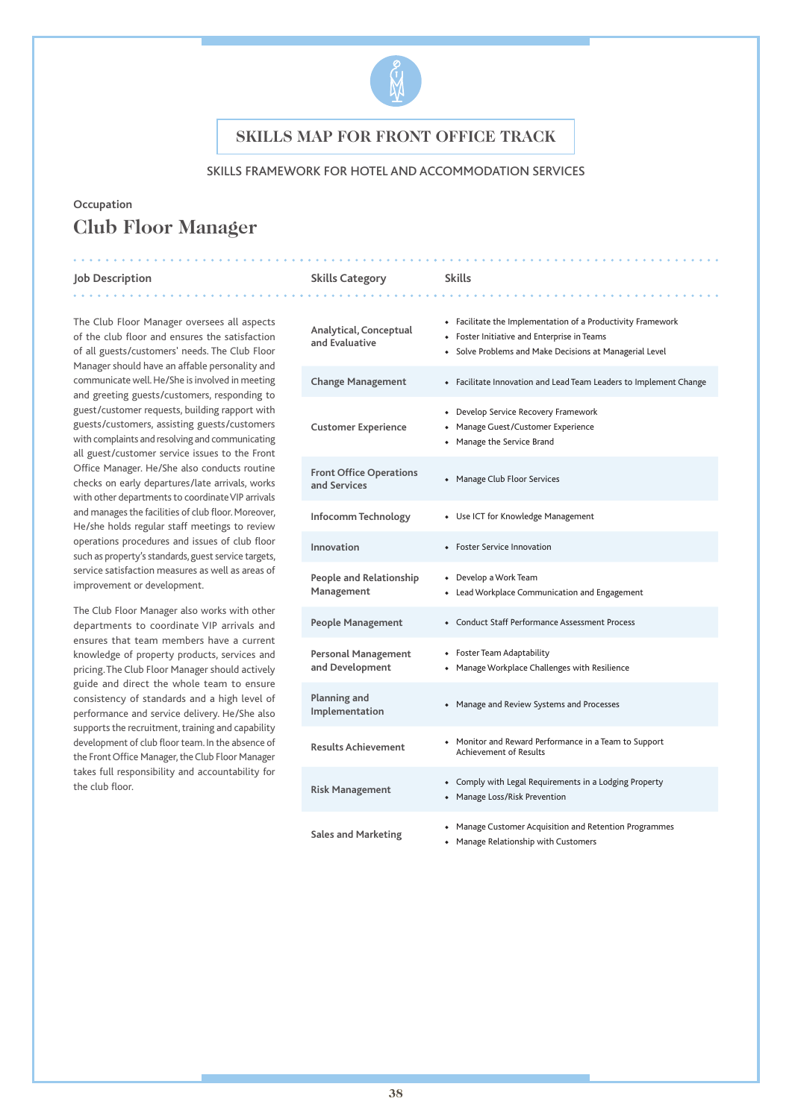

### SKILLS FRAMEWORK FOR HOTEL AND ACCOMMODATION SERVICES

# **Occupation Club Floor Manager**

#### **Job Description Skills Category Skills**

The Club Floor Manager oversees all aspects of the club floor and ensures the satisfaction of all guests/customers' needs. The Club Floor Manager should have an affable personality and communicate well. He/She is involved in meeting and greeting guests/customers, responding to guest/customer requests, building rapport with guests/customers, assisting guests/customers with complaints and resolving and communicating all guest/customer service issues to the Front Office Manager. He/She also conducts routine checks on early departures/late arrivals, works with other departments to coordinate VIP arrivals and manages the facilities of club floor. Moreover, He/she holds regular staff meetings to review operations procedures and issues of club floor such as property's standards, guest service targets, service satisfaction measures as well as areas of improvement or development.

The Club Floor Manager also works with other departments to coordinate VIP arrivals and ensures that team members have a current knowledge of property products, services and pricing. The Club Floor Manager should actively guide and direct the whole team to ensure consistency of standards and a high level of performance and service delivery. He/She also supports the recruitment, training and capability development of club floor team. In the absence of the Front Office Manager, the Club Floor Manager takes full responsibility and accountability for the club floor.

### **Analytical, Conceptual and Evaluative** ◆ Facilitate the Implementation of a Productivity Framework ◆ Foster Initiative and Enterprise in Teams ◆ Solve Problems and Make Decisions at Managerial Level **Change Management** ◆ Facilitate Innovation and Lead Team Leaders to Implement Change **Customer Experience** ◆ Develop Service Recovery Framework ◆ Manage Guest/Customer Experience ◆ Manage the Service Brand **Front Office Operations and Services** ◆ Manage Club Floor Services **Infocomm Technology** ◆ Use ICT for Knowledge Management **Innovation** ◆ Foster Service Innovation **People and Relationship Management** ◆ Develop a Work Team ◆ Lead Workplace Communication and Engagement **People Management** ◆ Conduct Staff Performance Assessment Process **Personal Management and Development** ◆ Foster Team Adaptability ◆ Manage Workplace Challenges with Resilience **Planning and Implementation** → Manage and Review Systems and Processes<br>Implementation **Results Achievement** ◆ Monitor and Reward Performance in a Team to Support Achievement of Results **Risk Management** ◆ Comply with Legal Requirements in a Lodging Property ◆ Manage Loss/Risk Prevention **Sales and Marketing** ◆ Manage Customer Acquisition and Retention Programmes ◆ Manage Relationship with Customers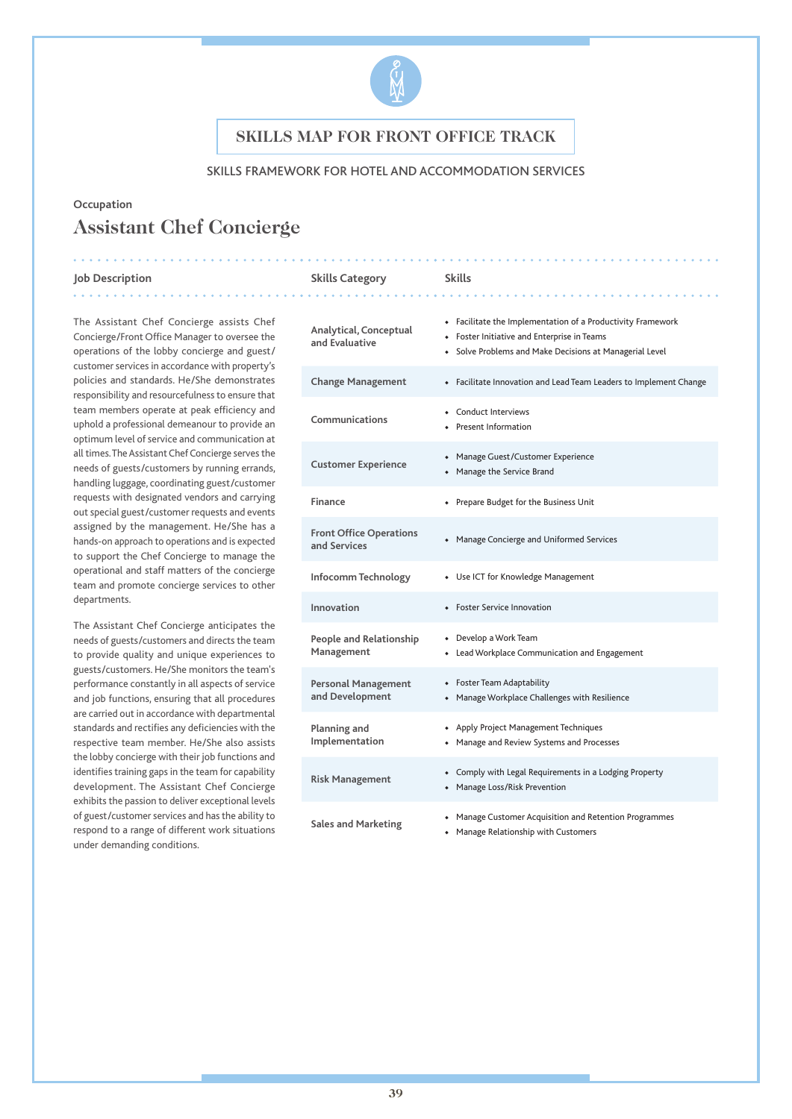

### SKILLS FRAMEWORK FOR HOTEL AND ACCOMMODATION SERVICES

### **Occupation**

# **Assistant Chef Concierge**

#### **Job Description Skills Category Skills**

. **. . . . . . . . . . .** .

The Assistant Chef Concierge assists Chef Concierge/Front Office Manager to oversee the operations of the lobby concierge and guest/ customer services in accordance with property's policies and standards. He/She demonstrates responsibility and resourcefulness to ensure that team members operate at peak efficiency and uphold a professional demeanour to provide an optimum level of service and communication at all times. The Assistant Chef Concierge serves the needs of guests/customers by running errands, handling luggage, coordinating guest/customer requests with designated vendors and carrying out special guest/customer requests and events assigned by the management. He/She has a hands-on approach to operations and is expected to support the Chef Concierge to manage the operational and staff matters of the concierge team and promote concierge services to other departments.

The Assistant Chef Concierge anticipates the needs of guests/customers and directs the team to provide quality and unique experiences to guests/customers. He/She monitors the team's performance constantly in all aspects of service and job functions, ensuring that all procedures are carried out in accordance with departmental standards and rectifies any deficiencies with the respective team member. He/She also assists the lobby concierge with their job functions and identifies training gaps in the team for capability development. The Assistant Chef Concierge exhibits the passion to deliver exceptional levels of guest/customer services and has the ability to respond to a range of different work situations under demanding conditions.

| Analytical, Conceptual<br>and Evaluative       | • Facilitate the Implementation of a Productivity Framework<br>• Foster Initiative and Enterprise in Teams<br>• Solve Problems and Make Decisions at Managerial Level |
|------------------------------------------------|-----------------------------------------------------------------------------------------------------------------------------------------------------------------------|
| <b>Change Management</b>                       | • Facilitate Innovation and Lead Team Leaders to Implement Change                                                                                                     |
| Communications                                 | • Conduct Interviews<br>• Present Information                                                                                                                         |
| <b>Customer Experience</b>                     | • Manage Guest/Customer Experience<br>• Manage the Service Brand                                                                                                      |
| Finance                                        | • Prepare Budget for the Business Unit                                                                                                                                |
| <b>Front Office Operations</b><br>and Services | • Manage Concierge and Uniformed Services                                                                                                                             |
| Infocomm Technology                            | • Use ICT for Knowledge Management                                                                                                                                    |
| Innovation                                     | • Foster Service Innovation                                                                                                                                           |
| <b>People and Relationship</b><br>Management   | • Develop a Work Team<br>• Lead Workplace Communication and Engagement                                                                                                |
| <b>Personal Management</b><br>and Development  | • Foster Team Adaptability<br>• Manage Workplace Challenges with Resilience                                                                                           |
| Planning and<br>Implementation                 | • Apply Project Management Techniques<br>• Manage and Review Systems and Processes                                                                                    |
| <b>Risk Management</b>                         | • Comply with Legal Requirements in a Lodging Property<br>• Manage Loss/Risk Prevention                                                                               |
| <b>Sales and Marketing</b>                     | • Manage Customer Acquisition and Retention Programmes<br>• Manage Relationship with Customers                                                                        |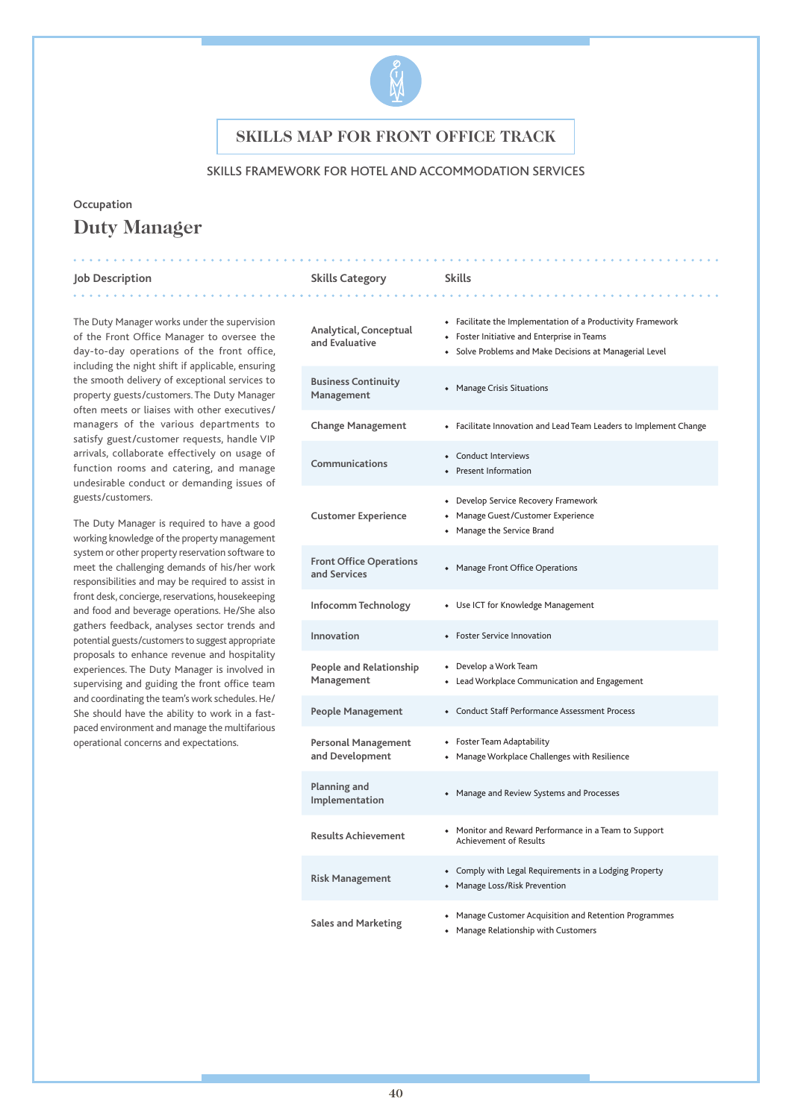

### SKILLS FRAMEWORK FOR HOTEL AND ACCOMMODATION SERVICES

. . . . . . .

# **Occupation Duty Manager**

#### **Job Description Skills Category Skills**

. . . . . . . . . . . . .

The Duty Manager works under the supervision of the Front Office Manager to oversee the day-to-day operations of the front office, including the night shift if applicable, ensuring the smooth delivery of exceptional services to property guests/customers. The Duty Manager often meets or liaises with other executives/ managers of the various departments to satisfy guest/customer requests, handle VIP arrivals, collaborate effectively on usage of function rooms and catering, and manage undesirable conduct or demanding issues of guests/customers.

The Duty Manager is required to have a good working knowledge of the property management system or other property reservation software to meet the challenging demands of his/her work responsibilities and may be required to assist in front desk, concierge, reservations, housekeeping and food and beverage operations. He/She also gathers feedback, analyses sector trends and potential guests/customers to suggest appropriate proposals to enhance revenue and hospitality experiences. The Duty Manager is involved in supervising and guiding the front office team and coordinating the team's work schedules. He/ She should have the ability to work in a fastpaced environment and manage the multifarious operational concerns and expectations.

| Analytical, Conceptual<br>and Evaluative       | • Facilitate the Implementation of a Productivity Framework<br>• Foster Initiative and Enterprise in Teams<br>• Solve Problems and Make Decisions at Managerial Level |
|------------------------------------------------|-----------------------------------------------------------------------------------------------------------------------------------------------------------------------|
| <b>Business Continuity</b><br>Management       | • Manage Crisis Situations                                                                                                                                            |
| <b>Change Management</b>                       | • Facilitate Innovation and Lead Team Leaders to Implement Change                                                                                                     |
| Communications                                 | • Conduct Interviews<br>• Present Information                                                                                                                         |
| <b>Customer Experience</b>                     | • Develop Service Recovery Framework<br>• Manage Guest/Customer Experience<br>• Manage the Service Brand                                                              |
| <b>Front Office Operations</b><br>and Services | • Manage Front Office Operations                                                                                                                                      |
| Infocomm Technology                            | • Use ICT for Knowledge Management                                                                                                                                    |
| Innovation                                     | • Foster Service Innovation                                                                                                                                           |
| People and Relationship<br>Management          | • Develop a Work Team<br>• Lead Workplace Communication and Engagement                                                                                                |
| People Management                              | • Conduct Staff Performance Assessment Process                                                                                                                        |
| Personal Management<br>and Development         | • Foster Team Adaptability<br>• Manage Workplace Challenges with Resilience                                                                                           |
| Planning and<br>Implementation                 | • Manage and Review Systems and Processes                                                                                                                             |
| <b>Results Achievement</b>                     | • Monitor and Reward Performance in a Team to Support<br><b>Achievement of Results</b>                                                                                |
| <b>Risk Management</b>                         | • Comply with Legal Requirements in a Lodging Property<br>• Manage Loss/Risk Prevention                                                                               |
| <b>Sales and Marketing</b>                     | • Manage Customer Acquisition and Retention Programmes<br>• Manage Relationship with Customers                                                                        |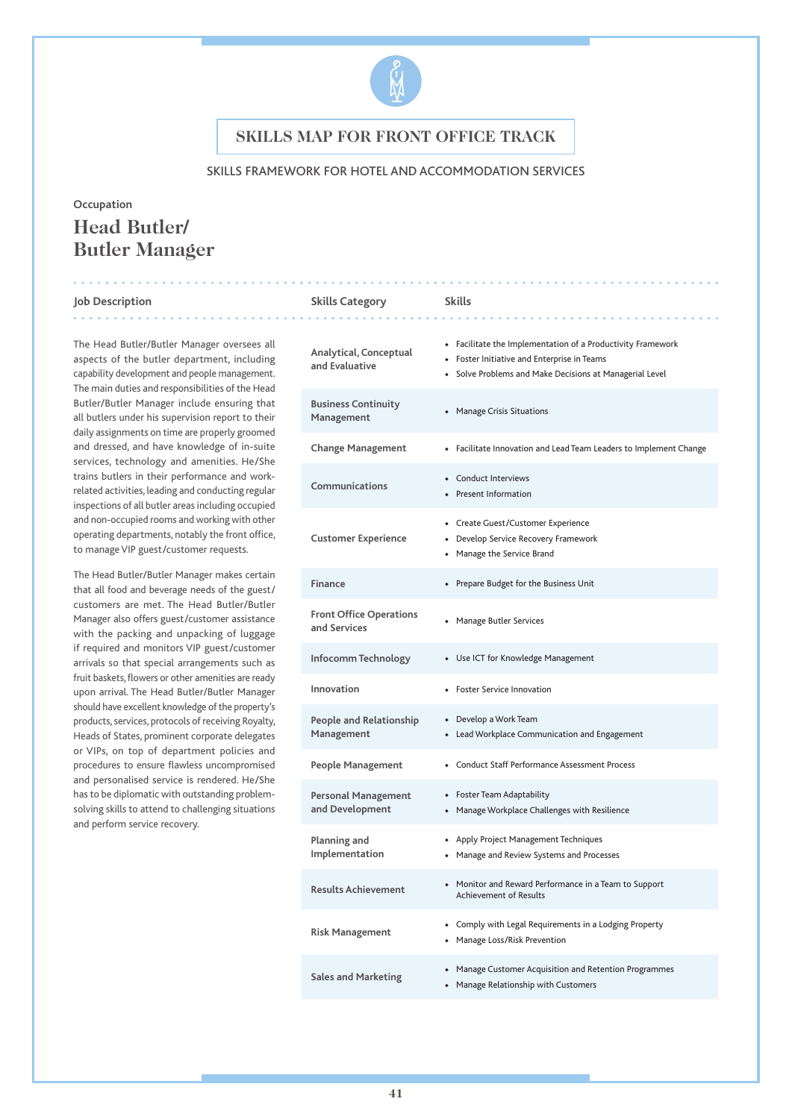

### SKILLS FRAMEWORK FOR HOTEL AND ACCOMMODATION SERVICES

# **Occupation Head Butler/ Butler Manager**

#### **Job Description Skills Category Skills** . . . . . . . . . .

The Head Butler/Butler Manager oversees all aspects of the butler department, including capability development and people management. The main duties and responsibilities of the Head Butler/Butler Manager include ensuring that all butlers under his supervision report to their daily assignments on time are properly groomed and dressed, and have knowledge of in-suite services, technology and amenities. He/She trains butlers in their performance and workrelated activities, leading and conducting regular inspections of all butler areas including occupied and non-occupied rooms and working with other operating departments, notably the front office, to manage VIP guest/customer requests.

The Head Butler/Butler Manager makes certain that all food and beverage needs of the guest/ customers are met. The Head Butler/Butler Manager also offers guest/customer assistance with the packing and unpacking of luggage if required and monitors VIP guest/customer arrivals so that special arrangements such as fruit baskets, flowers or other amenities are ready upon arrival. The Head Butler/Butler Manager should have excellent knowledge of the property's products, services, protocols of receiving Royalty, Heads of States, prominent corporate delegates or VIPs, on top of department policies and procedures to ensure flawless uncompromised and personalised service is rendered. He/She has to be diplomatic with outstanding problemsolving skills to attend to challenging situations and perform service recovery.

| Analytical, Conceptual<br>and Evaluative       | • Facilitate the Implementation of a Productivity Framework<br>• Foster Initiative and Enterprise in Teams<br>Solve Problems and Make Decisions at Managerial Level |
|------------------------------------------------|---------------------------------------------------------------------------------------------------------------------------------------------------------------------|
| <b>Business Continuity</b><br>Management       | • Manage Crisis Situations                                                                                                                                          |
| <b>Change Management</b>                       | • Facilitate Innovation and Lead Team Leaders to Implement Change                                                                                                   |
| Communications                                 | • Conduct Interviews<br>• Present Information                                                                                                                       |
| <b>Customer Experience</b>                     | • Create Guest/Customer Experience<br>• Develop Service Recovery Framework<br>• Manage the Service Brand                                                            |
| Finance                                        | • Prepare Budget for the Business Unit                                                                                                                              |
| <b>Front Office Operations</b><br>and Services | • Manage Butler Services                                                                                                                                            |
| Infocomm Technology                            | • Use ICT for Knowledge Management                                                                                                                                  |
| Innovation                                     | <b>Foster Service Innovation</b>                                                                                                                                    |
| <b>People and Relationship</b><br>Management   | • Develop a Work Team<br>• Lead Workplace Communication and Engagement                                                                                              |
| <b>People Management</b>                       | • Conduct Staff Performance Assessment Process                                                                                                                      |
| <b>Personal Management</b><br>and Development  | • Foster Team Adaptability<br>• Manage Workplace Challenges with Resilience                                                                                         |
| Planning and<br>Implementation                 | • Apply Project Management Techniques<br>• Manage and Review Systems and Processes                                                                                  |
| <b>Results Achievement</b>                     | • Monitor and Reward Performance in a Team to Support<br><b>Achievement of Results</b>                                                                              |
| <b>Risk Management</b>                         | • Comply with Legal Requirements in a Lodging Property<br>• Manage Loss/Risk Prevention                                                                             |
| <b>Sales and Marketing</b>                     | • Manage Customer Acquisition and Retention Programmes<br>Manage Relationship with Customers                                                                        |

#### **41**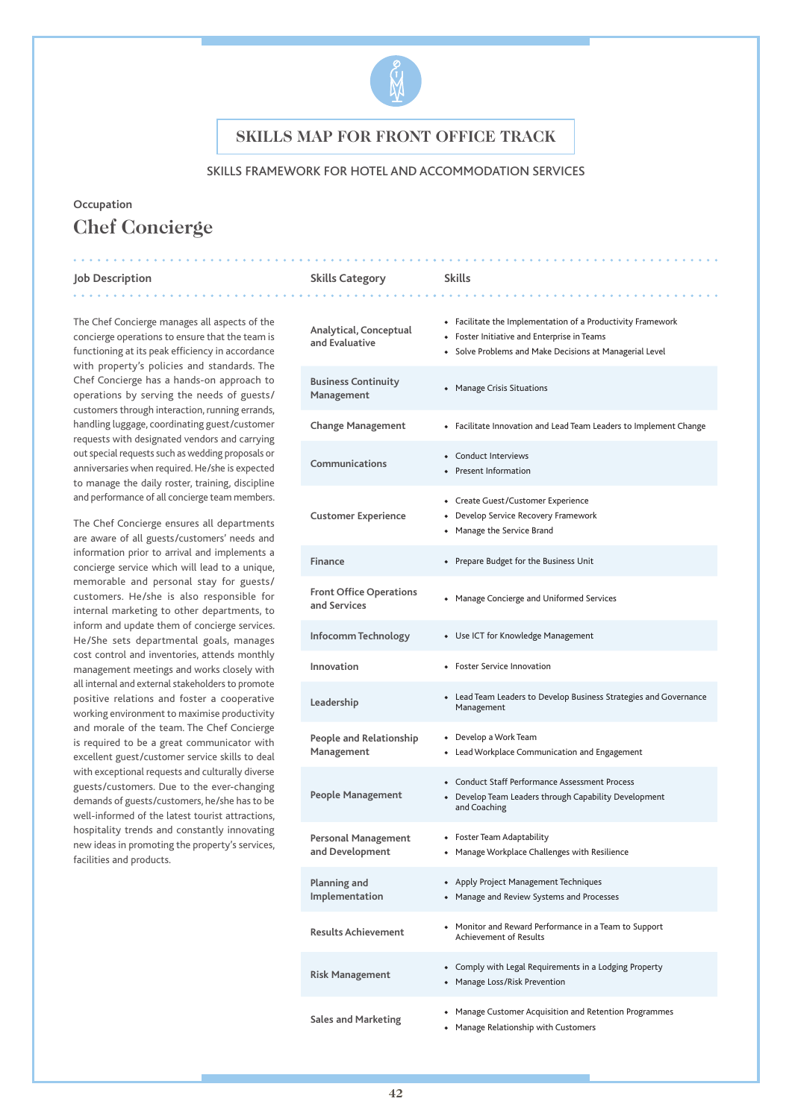

#### SKILLS FRAMEWORK FOR HOTEL AND ACCOMMODATION SERVICES

# **Occupation Chef Concierge**

#### **Job Description Skills Category Skills**

. . . . . . . . . . . . .

The Chef Concierge manages all aspects of the concierge operations to ensure that the team is functioning at its peak efficiency in accordance with property's policies and standards. The Chef Concierge has a hands-on approach to operations by serving the needs of guests/ customers through interaction, running errands, handling luggage, coordinating guest/customer requests with designated vendors and carrying out special requests such as wedding proposals or anniversaries when required. He/she is expected to manage the daily roster, training, discipline and performance of all concierge team members.

The Chef Concierge ensures all departments are aware of all guests/customers' needs and information prior to arrival and implements a concierge service which will lead to a unique, memorable and personal stay for guests/ customers. He/she is also responsible for internal marketing to other departments, to inform and update them of concierge services. He/She sets departmental goals, manages cost control and inventories, attends monthly management meetings and works closely with all internal and external stakeholders to promote positive relations and foster a cooperative working environment to maximise productivity and morale of the team. The Chef Concierge is required to be a great communicator with excellent guest/customer service skills to deal with exceptional requests and culturally diverse guests/customers. Due to the ever-changing demands of guests/customers, he/she has to be well-informed of the latest tourist attractions, hospitality trends and constantly innovating new ideas in promoting the property's services, facilities and products.

| Analytical, Conceptual<br>and Evaluative       | • Facilitate the Implementation of a Productivity Framework<br>• Foster Initiative and Enterprise in Teams<br>• Solve Problems and Make Decisions at Managerial Level |
|------------------------------------------------|-----------------------------------------------------------------------------------------------------------------------------------------------------------------------|
| <b>Business Continuity</b><br>Management       | • Manage Crisis Situations                                                                                                                                            |
| <b>Change Management</b>                       | • Facilitate Innovation and Lead Team Leaders to Implement Change                                                                                                     |
| Communications                                 | • Conduct Interviews<br>• Present Information                                                                                                                         |
| <b>Customer Experience</b>                     | • Create Guest/Customer Experience<br>• Develop Service Recovery Framework<br>• Manage the Service Brand                                                              |
| <b>Finance</b>                                 | • Prepare Budget for the Business Unit                                                                                                                                |
| <b>Front Office Operations</b><br>and Services | • Manage Concierge and Uniformed Services                                                                                                                             |
| Infocomm Technology                            | • Use ICT for Knowledge Management                                                                                                                                    |
| Innovation                                     | • Foster Service Innovation                                                                                                                                           |
| Leadership                                     | • Lead Team Leaders to Develop Business Strategies and Governance<br>Management                                                                                       |
| People and Relationship<br>Management          | • Develop a Work Team<br>• Lead Workplace Communication and Engagement                                                                                                |
| <b>People Management</b>                       | • Conduct Staff Performance Assessment Process<br>• Develop Team Leaders through Capability Development<br>and Coaching                                               |
| <b>Personal Management</b><br>and Development  | • Foster Team Adaptability<br>• Manage Workplace Challenges with Resilience                                                                                           |
| Planning and<br>Implementation                 | • Apply Project Management Techniques<br>• Manage and Review Systems and Processes                                                                                    |
| <b>Results Achievement</b>                     | • Monitor and Reward Performance in a Team to Support<br><b>Achievement of Results</b>                                                                                |
| <b>Risk Management</b>                         | • Comply with Legal Requirements in a Lodging Property<br>• Manage Loss/Risk Prevention                                                                               |
| <b>Sales and Marketing</b>                     | Manage Customer Acquisition and Retention Programmes                                                                                                                  |

◆ Manage Relationship with Customers

**42**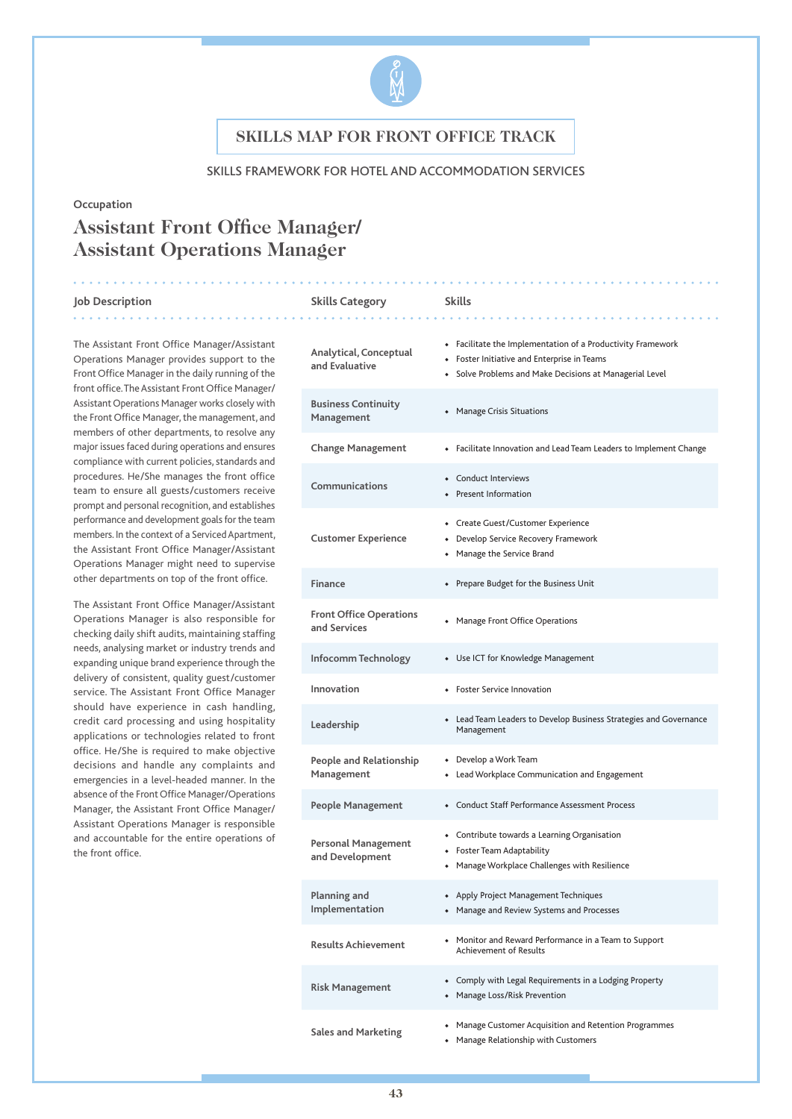

#### SKILLS FRAMEWORK FOR HOTEL AND ACCOMMODATION SERVICES

**and Evaluative**

#### **Occupation**

# **Assistant Front Office Manager/ Assistant Operations Manager**

#### **Job Description Skills Category Skills** . . . . . . . . . .

The Assistant Front Office Manager/Assistant Operations Manager provides support to the Front Office Manager in the daily running of the front office. The Assistant Front Office Manager/ Assistant Operations Manager works closely with the Front Office Manager, the management, and members of other departments, to resolve any major issues faced during operations and ensures compliance with current policies, standards and procedures. He/She manages the front office team to ensure all guests/customers receive prompt and personal recognition, and establishes performance and development goals for the team members. In the context of a Serviced Apartment, the Assistant Front Office Manager/Assistant Operations Manager might need to supervise other departments on top of the front office.

The Assistant Front Office Manager/Assistant Operations Manager is also responsible for checking daily shift audits, maintaining staffing needs, analysing market or industry trends and expanding unique brand experience through the delivery of consistent, quality guest/customer service. The Assistant Front Office Manager should have experience in cash handling, credit card processing and using hospitality applications or technologies related to front office. He/She is required to make objective decisions and handle any complaints and emergencies in a level-headed manner. In the absence of the Front Office Manager/Operations Manager, the Assistant Front Office Manager/ Assistant Operations Manager is responsible and accountable for the entire operations of the front office.

| Analytical, Conceptual<br>and Evaluative       | • Facilitate the Implementation of a Productivity Framework<br>• Foster Initiative and Enterprise in Teams<br>Solve Problems and Make Decisions at Managerial Level |
|------------------------------------------------|---------------------------------------------------------------------------------------------------------------------------------------------------------------------|
| <b>Business Continuity</b><br>Management       | <b>Manage Crisis Situations</b>                                                                                                                                     |
| <b>Change Management</b>                       | • Facilitate Innovation and Lead Team Leaders to Implement Change                                                                                                   |
| Communications                                 | Conduct Interviews<br><b>Present Information</b>                                                                                                                    |
| <b>Customer Experience</b>                     | • Create Guest/Customer Experience<br>• Develop Service Recovery Framework<br>• Manage the Service Brand                                                            |
| <b>Finance</b>                                 | • Prepare Budget for the Business Unit                                                                                                                              |
| <b>Front Office Operations</b><br>and Services | • Manage Front Office Operations                                                                                                                                    |
| Infocomm Technology                            | • Use ICT for Knowledge Management                                                                                                                                  |
| Innovation                                     | <b>Foster Service Innovation</b>                                                                                                                                    |
| Leadership                                     | • Lead Team Leaders to Develop Business Strategies and Governance<br>Management                                                                                     |
| People and Relationship<br>Management          | • Develop a Work Team<br>• Lead Workplace Communication and Engagement                                                                                              |
| <b>People Management</b>                       | • Conduct Staff Performance Assessment Process                                                                                                                      |
| <b>Personal Management</b><br>and Development  | • Contribute towards a Learning Organisation<br>• Foster Team Adaptability<br>Manage Workplace Challenges with Resilience                                           |
| Planning and<br>Implementation                 | • Apply Project Management Techniques<br>• Manage and Review Systems and Processes                                                                                  |
| <b>Results Achievement</b>                     | • Monitor and Reward Performance in a Team to Support<br><b>Achievement of Results</b>                                                                              |
| <b>Risk Management</b>                         | • Comply with Legal Requirements in a Lodging Property<br>• Manage Loss/Risk Prevention                                                                             |
|                                                | • Manage Customer Acquisition and Retention Programmes                                                                                                              |

◆ Manage Relationship with Customers

**Sales and Marketing**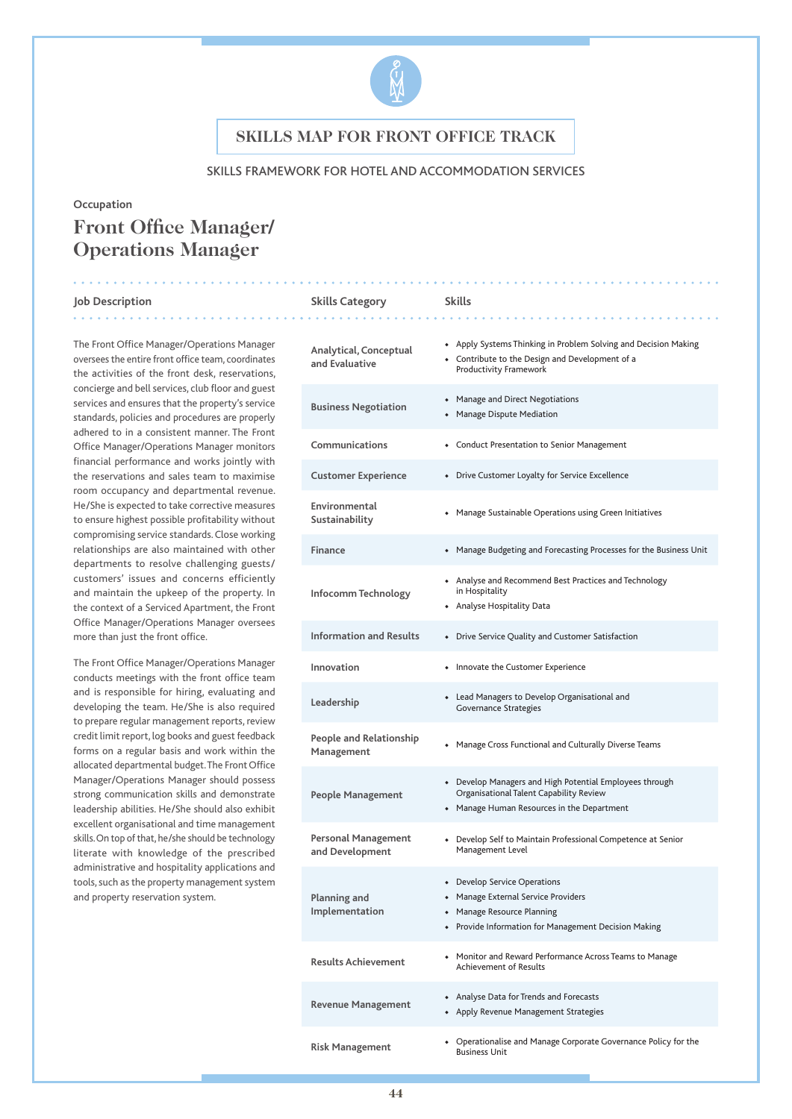

### SKILLS FRAMEWORK FOR HOTEL AND ACCOMMODATION SERVICES

#### **Occupation**

# **Front Office Manager/ Operations Manager**

#### **Job Description Skills Category Skills** . . . . . . . . . .

The Front Office Manager/Operations Manager oversees the entire front office team, coordinates the activities of the front desk, reservations, concierge and bell services, club floor and guest services and ensures that the property's service standards, policies and procedures are properly adhered to in a consistent manner. The Front Office Manager/Operations Manager monitors financial performance and works jointly with the reservations and sales team to maximise room occupancy and departmental revenue. He/She is expected to take corrective measures to ensure highest possible profitability without compromising service standards. Close working relationships are also maintained with other departments to resolve challenging guests/ customers' issues and concerns efficiently and maintain the upkeep of the property. In the context of a Serviced Apartment, the Front Office Manager/Operations Manager oversees more than just the front office.

The Front Office Manager/Operations Manager conducts meetings with the front office team and is responsible for hiring, evaluating and developing the team. He/She is also required to prepare regular management reports, review credit limit report, log books and guest feedback forms on a regular basis and work within the allocated departmental budget. The Front Office Manager/Operations Manager should possess strong communication skills and demonstrate leadership abilities. He/She should also exhibit excellent organisational and time management skills. On top of that, he/she should be technology literate with knowledge of the prescribed administrative and hospitality applications and tools, such as the property management system and property reservation system.

| Analytical, Conceptual<br>and Evaluative      | • Apply Systems Thinking in Problem Solving and Decision Making<br>• Contribute to the Design and Development of a<br>Productivity Framework              |
|-----------------------------------------------|-----------------------------------------------------------------------------------------------------------------------------------------------------------|
| <b>Business Negotiation</b>                   | • Manage and Direct Negotiations<br>• Manage Dispute Mediation                                                                                            |
| Communications                                | • Conduct Presentation to Senior Management                                                                                                               |
| <b>Customer Experience</b>                    | • Drive Customer Loyalty for Service Excellence                                                                                                           |
| Environmental<br>Sustainability               | • Manage Sustainable Operations using Green Initiatives                                                                                                   |
| <b>Finance</b>                                | • Manage Budgeting and Forecasting Processes for the Business Unit                                                                                        |
| Infocomm Technology                           | • Analyse and Recommend Best Practices and Technology<br>in Hospitality<br>• Analyse Hospitality Data                                                     |
| <b>Information and Results</b>                | • Drive Service Quality and Customer Satisfaction                                                                                                         |
| Innovation                                    | • Innovate the Customer Experience                                                                                                                        |
| Leadership                                    | • Lead Managers to Develop Organisational and<br><b>Governance Strategies</b>                                                                             |
| People and Relationship<br>Management         | • Manage Cross Functional and Culturally Diverse Teams                                                                                                    |
| People Management                             | • Develop Managers and High Potential Employees through<br>Organisational Talent Capability Review<br>• Manage Human Resources in the Department          |
| <b>Personal Management</b><br>and Development | • Develop Self to Maintain Professional Competence at Senior<br>Management Level                                                                          |
| <b>Planning and</b><br>Implementation         | • Develop Service Operations<br>• Manage External Service Providers<br>• Manage Resource Planning<br>• Provide Information for Management Decision Making |
| <b>Results Achievement</b>                    | • Monitor and Reward Performance Across Teams to Manage<br><b>Achievement of Results</b>                                                                  |
| <b>Revenue Management</b>                     | • Analyse Data for Trends and Forecasts<br>• Apply Revenue Management Strategies                                                                          |
| <b>Risk Management</b>                        | • Operationalise and Manage Corporate Governance Policy for the<br><b>Business Unit</b>                                                                   |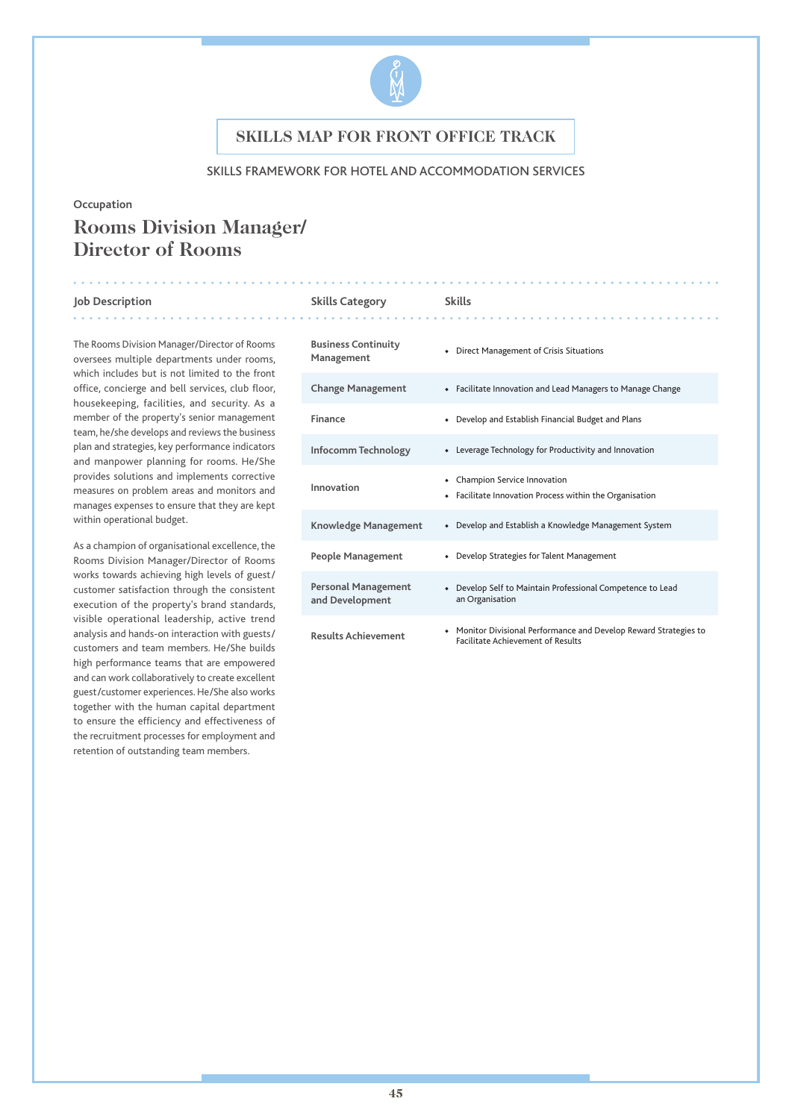

### SKILLS FRAMEWORK FOR HOTEL AND ACCOMMODATION SERVICES

#### **Occupation**

# **Rooms Division Manager/ Director of Rooms**

#### **Job Description Skills Category Skills**

The Rooms Division Manager/Director of Rooms oversees multiple departments under rooms, which includes but is not limited to the front office, concierge and bell services, club floor, housekeeping, facilities, and security. As a member of the property's senior management team, he/she develops and reviews the business plan and strategies, key performance indicators and manpower planning for rooms. He/She provides solutions and implements corrective measures on problem areas and monitors and manages expenses to ensure that they are kept within operational budget.

As a champion of organisational excellence, the Rooms Division Manager/Director of Rooms works towards achieving high levels of guest/ customer satisfaction through the consistent execution of the property's brand standards, visible operational leadership, active trend analysis and hands-on interaction with guests/ customers and team members. He/She builds high performance teams that are empowered and can work collaboratively to create excellent guest/customer experiences. He/She also works together with the human capital department to ensure the efficiency and effectiveness of the recruitment processes for employment and retention of outstanding team members.

| <b>Business Continuity</b><br>Management | Direct Management of Crisis Situations                                                                      |
|------------------------------------------|-------------------------------------------------------------------------------------------------------------|
| <b>Change Management</b>                 | • Facilitate Innovation and Lead Managers to Manage Change                                                  |
| Finance                                  | Develop and Establish Financial Budget and Plans                                                            |
| Infocomm Technology                      | Leverage Technology for Productivity and Innovation                                                         |
| Innovation                               | Champion Service Innovation<br>Facilitate Innovation Process within the Organisation<br>$\bullet$           |
| Knowledge Management                     | Develop and Establish a Knowledge Management System<br>$\bullet$                                            |
| People Management                        | • Develop Strategies for Talent Management                                                                  |
| Personal Management<br>and Development   | Develop Self to Maintain Professional Competence to Lead<br>an Organisation                                 |
| <b>Results Achievement</b>               | Monitor Divisional Performance and Develop Reward Strategies to<br><b>Facilitate Achievement of Results</b> |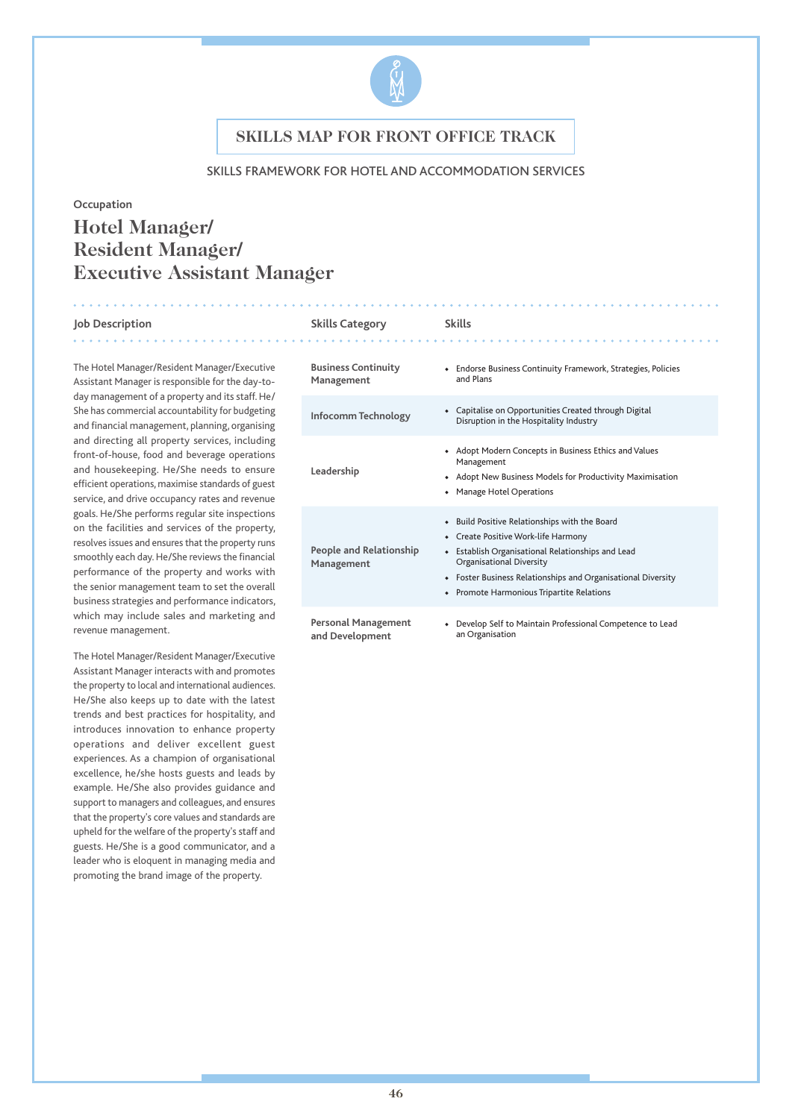

### SKILLS FRAMEWORK FOR HOTEL AND ACCOMMODATION SERVICES

#### **Occupation**

# **Hotel Manager/ Resident Manager/ Executive Assistant Manager**

#### **Job Description Skills Category Skills**

. . . . . . . . . . . . . .

The Hotel Manager/Resident Manager/Executive Assistant Manager is responsible for the day-today management of a property and its staff. He/ She has commercial accountability for budgeting and financial management, planning, organising and directing all property services, including front-of-house, food and beverage operations and housekeeping. He/She needs to ensure efficient operations, maximise standards of guest service, and drive occupancy rates and revenue goals. He/She performs regular site inspections on the facilities and services of the property, resolves issues and ensures that the property runs smoothly each day. He/She reviews the financial performance of the property and works with the senior management team to set the overall business strategies and performance indicators, which may include sales and marketing and revenue management.

The Hotel Manager/Resident Manager/Executive Assistant Manager interacts with and promotes the property to local and international audiences. He/She also keeps up to date with the latest trends and best practices for hospitality, and introduces innovation to enhance property operations and deliver excellent guest experiences. As a champion of organisational excellence, he/she hosts guests and leads by example. He/She also provides guidance and support to managers and colleagues, and ensures that the property's core values and standards are upheld for the welfare of the property's staff and guests. He/She is a good communicator, and a leader who is eloquent in managing media and promoting the brand image of the property.

| <b>Business Continuity</b><br>Management      | Endorse Business Continuity Framework, Strategies, Policies<br>and Plans                                                                                                                                                                                                                    |
|-----------------------------------------------|---------------------------------------------------------------------------------------------------------------------------------------------------------------------------------------------------------------------------------------------------------------------------------------------|
| Infocomm Technology                           | Capitalise on Opportunities Created through Digital<br>Disruption in the Hospitality Industry                                                                                                                                                                                               |
| Leadership                                    | • Adopt Modern Concepts in Business Ethics and Values<br>Management<br>• Adopt New Business Models for Productivity Maximisation<br><b>Manage Hotel Operations</b>                                                                                                                          |
| <b>People and Relationship</b><br>Management  | Build Positive Relationships with the Board<br>$\bullet$<br>• Create Positive Work-life Harmony<br>Establish Organisational Relationships and Lead<br>Organisational Diversity<br>• Foster Business Relationships and Organisational Diversity<br>• Promote Harmonious Tripartite Relations |
| <b>Personal Management</b><br>and Development | Develop Self to Maintain Professional Competence to Lead<br>an Organisation                                                                                                                                                                                                                 |